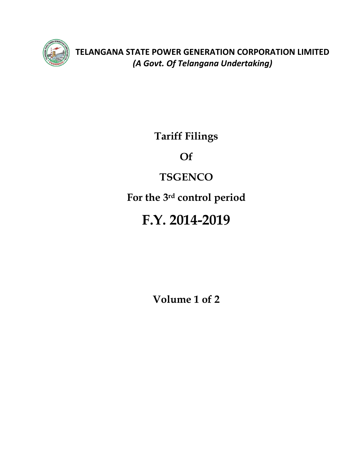

**TELANGANA STATE POWER GENERATION CORPORATION LIMITED**  *(A Govt. Of Telangana Undertaking)* 

**Tariff Filings** 

**Of** 

# **TSGENCO**

**For the 3rd control period** 

# **F.Y. 2014-2019**

**Volume 1 of 2**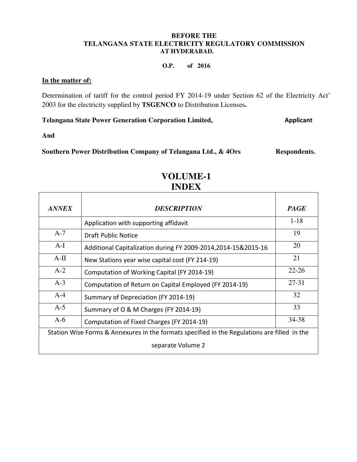#### **BEFORE THE TELANGANA STATE ELECTRICITY REGULATORY COMMISSION AT HYDERABAD.**

#### **O.P. of 2016**

#### **In the matter of:**

Determination of tariff for the control period FY 2014-19 under Section 62 of the Electricity Act' 2003 for the electricity supplied by **TSGENCO** to Distribution Licenses**.**

**Telangana State Power Generation Corporation Limited, Applicant** 

**And** 

Southern Power Distribution Company of Telangana Ltd., & 4Ors Respondents.

| <b>ANNEX</b> | <b>DESCRIPTION</b>                                                                           | <b>PAGE</b> |  |  |  |  |
|--------------|----------------------------------------------------------------------------------------------|-------------|--|--|--|--|
|              | Application with supporting affidavit                                                        | $1 - 18$    |  |  |  |  |
| $A-7$        | <b>Draft Public Notice</b>                                                                   | 19          |  |  |  |  |
| $A-I$        | Additional Capitalization during FY 2009-2014,2014-15&2015-16                                | 20          |  |  |  |  |
| $A-II$       | New Stations year wise capital cost (FY 214-19)                                              | 21          |  |  |  |  |
| $A-2$        | Computation of Working Capital (FY 2014-19)                                                  | $22 - 26$   |  |  |  |  |
| $A-3$        | Computation of Return on Capital Employed (FY 2014-19)                                       | $27 - 31$   |  |  |  |  |
| $A-4$        | Summary of Depreciation (FY 2014-19)                                                         | 32          |  |  |  |  |
| $A-5$        | Summary of O & M Charges (FY 2014-19)                                                        | 33          |  |  |  |  |
| $A-6$        | Computation of Fixed Charges (FY 2014-19)                                                    | 34-38       |  |  |  |  |
|              | Station Wise Forms & Annexures in the formats specified in the Regulations are filled in the |             |  |  |  |  |
|              | separate Volume 2                                                                            |             |  |  |  |  |

# **VOLUME-1 INDEX**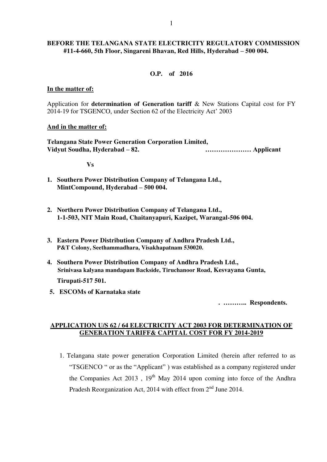#### **BEFORE THE TELANGANA STATE ELECTRICITY REGULATORY COMMISSION #11-4-660, 5th Floor, Singareni Bhavan, Red Hills, Hyderabad – 500 004.**

#### **O.P. of 2016**

#### **In the matter of:**

Application for **determination of Generation tariff** & New Stations Capital cost for FY 2014-19 for TSGENCO, under Section 62 of the Electricity Act' 2003

#### **And in the matter of:**

**Telangana State Power Generation Corporation Limited, Vidyut Soudha, Hyderabad – 82. ………………… Applicant** 

**Vs**

- **1. Southern Power Distribution Company of Telangana Ltd., MintCompound, Hyderabad – 500 004.**
- **2. Northern Power Distribution Company of Telangana Ltd., 1-1-503, NIT Main Road, Chaitanyapuri, Kazipet, Warangal-506 004.**
- **3. Eastern Power Distribution Company of Andhra Pradesh Ltd., P&T Colony, Seethammadhara, Visakhapatnam 530020.**
- **4. Southern Power Distribution Company of Andhra Pradesh Ltd., Srinivasa kalyana mandapam Backside, Tiruchanoor Road, Kesvayana Gunta,**

 **Tirupati-517 501.** 

**5. ESCOMs of Karnataka state** 

 **. ……….. Respondents.**

#### **APPLICATION U/S 62 / 64 ELECTRICITY ACT 2003 FOR DETERMINATION OF GENERATION TARIFF& CAPITAL COST FOR FY 2014-2019**

1. Telangana state power generation Corporation Limited (herein after referred to as "TSGENCO " or as the "Applicant" ) was established as a company registered under the Companies Act 2013,  $19<sup>th</sup>$  May 2014 upon coming into force of the Andhra Pradesh Reorganization Act, 2014 with effect from  $2<sup>nd</sup>$  June 2014.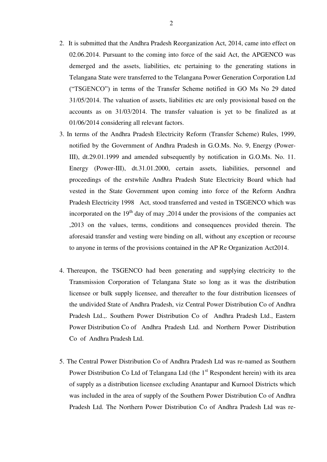- 2. It is submitted that the Andhra Pradesh Reorganization Act, 2014, came into effect on 02.06.2014. Pursuant to the coming into force of the said Act, the APGENCO was demerged and the assets, liabilities, etc pertaining to the generating stations in Telangana State were transferred to the Telangana Power Generation Corporation Ltd ("TSGENCO") in terms of the Transfer Scheme notified in GO Ms No 29 dated 31/05/2014. The valuation of assets, liabilities etc are only provisional based on the accounts as on 31/03/2014. The transfer valuation is yet to be finalized as at 01/06/2014 considering all relevant factors.
- 3. In terms of the Andhra Pradesh Electricity Reform (Transfer Scheme) Rules, 1999, notified by the Government of Andhra Pradesh in G.O.Ms. No. 9, Energy (Power-III), dt.29.01.1999 and amended subsequently by notification in G.O.Ms. No. 11. Energy (Power-III), dt.31.01.2000, certain assets, liabilities, personnel and proceedings of the erstwhile Andhra Pradesh State Electricity Board which had vested in the State Government upon coming into force of the Reform Andhra Pradesh Electricity 1998 Act, stood transferred and vested in TSGENCO which was incorporated on the  $19<sup>th</sup>$  day of may , 2014 under the provisions of the companies act ,2013 on the values, terms, conditions and consequences provided therein. The aforesaid transfer and vesting were binding on all, without any exception or recourse to anyone in terms of the provisions contained in the AP Re Organization Act2014.
- 4. Thereupon, the TSGENCO had been generating and supplying electricity to the Transmission Corporation of Telangana State so long as it was the distribution licensee or bulk supply licensee, and thereafter to the four distribution licensees of the undivided State of Andhra Pradesh, viz Central Power Distribution Co of Andhra Pradesh Ltd.,. Southern Power Distribution Co of Andhra Pradesh Ltd., Eastern Power Distribution Co of Andhra Pradesh Ltd. and Northern Power Distribution Co of Andhra Pradesh Ltd.
- 5. The Central Power Distribution Co of Andhra Pradesh Ltd was re-named as Southern Power Distribution Co Ltd of Telangana Ltd (the  $1<sup>st</sup>$  Respondent herein) with its area of supply as a distribution licensee excluding Anantapur and Kurnool Districts which was included in the area of supply of the Southern Power Distribution Co of Andhra Pradesh Ltd. The Northern Power Distribution Co of Andhra Pradesh Ltd was re-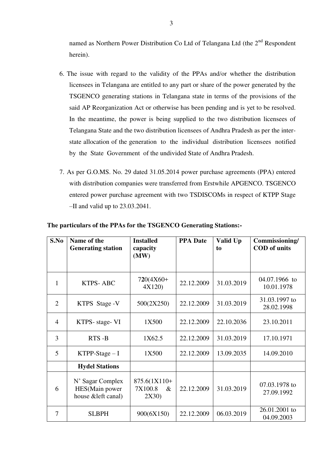named as Northern Power Distribution Co Ltd of Telangana Ltd (the 2<sup>nd</sup> Respondent herein).

- 6. The issue with regard to the validity of the PPAs and/or whether the distribution licensees in Telangana are entitled to any part or share of the power generated by the TSGENCO generating stations in Telangana state in terms of the provisions of the said AP Reorganization Act or otherwise has been pending and is yet to be resolved. In the meantime, the power is being supplied to the two distribution licensees of Telangana State and the two distribution licensees of Andhra Pradesh as per the interstate allocation of the generation to the individual distribution licensees notified by the State Government of the undivided State of Andhra Pradesh.
- 7. As per G.O.MS. No. 29 dated 31.05.2014 power purchase agreements (PPA) entered with distribution companies were transferred from Erstwhile APGENCO. TSGENCO entered power purchase agreement with two TSDISCOMs in respect of KTPP Stage –II and valid up to 23.03.2041.

| S.No           | Name of the<br><b>Generating station</b>                  | <b>Installed</b><br>capacity             | <b>PPA Date</b> | Valid Up<br>to | Commissioning/<br><b>COD</b> of units |
|----------------|-----------------------------------------------------------|------------------------------------------|-----------------|----------------|---------------------------------------|
|                |                                                           | (MW)                                     |                 |                |                                       |
| $\mathbf{1}$   | <b>KTPS-ABC</b>                                           | $720(4X60+$<br>4X120)                    | 22.12.2009      | 31.03.2019     | 04.07.1966 to<br>10.01.1978           |
| $\overline{2}$ | KTPS Stage - V                                            | 500(2X250)                               | 22.12.2009      | 31.03.2019     | 31.03.1997 to<br>28.02.1998           |
| $\overline{4}$ | KTPS- stage- VI                                           | 1X500                                    | 22.12.2009      | 22.10.2036     | 23.10.2011                            |
| 3              | RTS-B                                                     | 1X62.5                                   | 22.12.2009      | 31.03.2019     | 17.10.1971                            |
| 5              | $KTPP-Stage-I$                                            | 1X500                                    | 22.12.2009      | 13.09.2035     | 14.09.2010                            |
|                | <b>Hydel Stations</b>                                     |                                          |                 |                |                                       |
| 6              | N' Sagar Complex<br>HES(Main power<br>house & left canal) | 875.6(1X110+<br>7X100.8<br>$\&$<br>2X30) | 22.12.2009      | 31.03.2019     | 07.03.1978 to<br>27.09.1992           |
| 7              | <b>SLBPH</b>                                              | 900(6X150)                               | 22.12.2009      | 06.03.2019     | 26.01.2001 to<br>04.09.2003           |

**The particulars of the PPAs for the TSGENCO Generating Stations:-**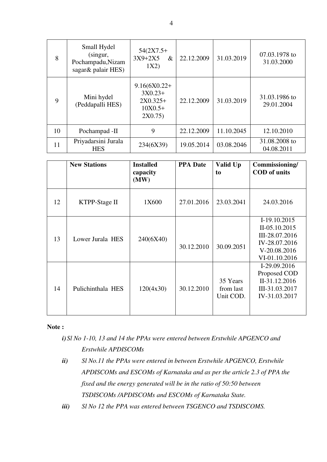| 8  | Small Hydel<br>(singur,<br>Pochampadu, Nizam<br>sagar & palair HES) | $54(2X7.5+$<br>$3X9+2X5$<br>$\&$<br>1X2)                          | 22.12.2009 | 31.03.2019 | 07.03.1978 to<br>31.03.2000 |
|----|---------------------------------------------------------------------|-------------------------------------------------------------------|------------|------------|-----------------------------|
| 9  | Mini hydel<br>(Peddapalli HES)                                      | $9.16(6X0.22+)$<br>$3X0.23+$<br>$2X0.325+$<br>$10X0.5+$<br>2X0.75 | 22.12.2009 | 31.03.2019 | 31.03.1986 to<br>29.01.2004 |
| 10 | Pochampad -II                                                       | 9                                                                 | 22.12.2009 | 11.10.2045 | 12.10.2010                  |
| 11 | Priyadarsini Jurala<br><b>HES</b>                                   | 234(6X39)                                                         | 19.05.2014 | 03.08.2046 | 31.08.2008 to<br>04.08.2011 |

|    | <b>New Stations</b> | <b>Installed</b><br>capacity<br>(MW) | <b>PPA Date</b> | Valid Up<br>to                     | Commissioning/<br><b>COD</b> of units                                                             |
|----|---------------------|--------------------------------------|-----------------|------------------------------------|---------------------------------------------------------------------------------------------------|
| 12 | KTPP-Stage II       | 1X600                                | 27.01.2016      | 23.03.2041                         | 24.03.2016                                                                                        |
| 13 | Lower Jurala HES    | 240(6X40)                            | 30.12.2010      | 30.09.2051                         | I-19.10.2015<br>II-05.10.2015<br>III-28.07.2016<br>IV-28.07.2016<br>V-20.08.2016<br>VI-01.10.2016 |
| 14 | Pulichinthala HES   | 120(4x30)                            | 30.12.2010      | 35 Years<br>from last<br>Unit COD. | I-29.09.2016<br>Proposed COD<br>II-31.12.2016<br>III-31.03.2017<br>IV-31.03.2017                  |

#### **Note :**

*i) Sl No 1-10, 13 and 14 the PPAs were entered between Erstwhile APGENCO and Erstwhile APDISCOMs* 

- *ii) Sl No.11 the PPAs were entered in between Erstwhile APGENCO, Erstwhile APDISCOMs and ESCOMs of Karnataka and as per the article 2.3 of PPA the fixed and the energy generated will be in the ratio of 50:50 between TSDISCOMs /APDISCOMs and ESCOMs of Karnataka State.*
- *iii) Sl No 12 the PPA was entered between TSGENCO and TSDISCOMS.*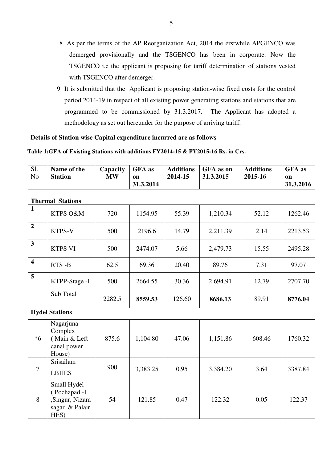- 8. As per the terms of the AP Reorganization Act, 2014 the erstwhile APGENCO was demerged provisionally and the TSGENCO has been in corporate. Now the TSGENCO i.e the applicant is proposing for tariff determination of stations vested with TSGENCO after demerger.
- 9. It is submitted that the Applicant is proposing station-wise fixed costs for the control period 2014-19 in respect of all existing power generating stations and stations that are programmed to be commissioned by 31.3.2017. The Applicant has adopted a methodology as set out hereunder for the purpose of arriving tariff.

#### **Details of Station wise Capital expenditure incurred are as follows**

#### **Table 1:GFA of Existing Stations with additions FY2014-15 & FY2015-16 Rs. in Crs.**

| $\overline{SI.}$<br>N <sub>o</sub> | Name of the<br><b>Station</b>                                           | Capacity<br>$\mathbf{M}\mathbf{W}$ | <b>GFA</b> as<br>on<br>31.3.2014 | <b>Additions</b><br>2014-15 | GFA as on<br>31.3.2015 | <b>Additions</b><br>2015-16 | <b>GFA</b> as<br>on<br>31.3.2016 |  |  |
|------------------------------------|-------------------------------------------------------------------------|------------------------------------|----------------------------------|-----------------------------|------------------------|-----------------------------|----------------------------------|--|--|
|                                    | <b>Thermal Stations</b>                                                 |                                    |                                  |                             |                        |                             |                                  |  |  |
| $\mathbf{1}$                       | KTPS O&M                                                                | 720                                | 1154.95                          | 55.39                       | 1,210.34               | 52.12                       | 1262.46                          |  |  |
| $\overline{2}$                     | KTPS-V                                                                  | 500                                | 2196.6                           | 14.79                       | 2,211.39               | 2.14                        | 2213.53                          |  |  |
| $\overline{\mathbf{3}}$            | <b>KTPS VI</b>                                                          | 500                                | 2474.07                          | 5.66                        | 2,479.73               | 15.55                       | 2495.28                          |  |  |
| $\overline{\mathbf{4}}$            | RTS-B                                                                   | 62.5                               | 69.36                            | 20.40                       | 89.76                  | 7.31                        | 97.07                            |  |  |
| 5                                  | KTPP-Stage -I                                                           | 500                                | 2664.55                          | 30.36                       | 2,694.91               | 12.79                       | 2707.70                          |  |  |
|                                    | Sub Total                                                               | 2282.5                             | 8559.53                          | 126.60                      | 8686.13                | 89.91                       | 8776.04                          |  |  |
|                                    | <b>Hydel Stations</b>                                                   |                                    |                                  |                             |                        |                             |                                  |  |  |
| $*6$                               | Nagarjuna<br>Complex<br>(Main & Left<br>canal power<br>House)           | 875.6                              | 1,104.80                         | 47.06                       | 1,151.86               | 608.46                      | 1760.32                          |  |  |
| $\tau$                             | Srisailam<br><b>LBHES</b>                                               | 900                                | 3,383.25                         | 0.95                        | 3,384.20               | 3.64                        | 3387.84                          |  |  |
| 8                                  | Small Hydel<br>(Pochapad -I<br>,Singur, Nizam<br>sagar & Palair<br>HES) | 54                                 | 121.85                           | 0.47                        | 122.32                 | 0.05                        | 122.37                           |  |  |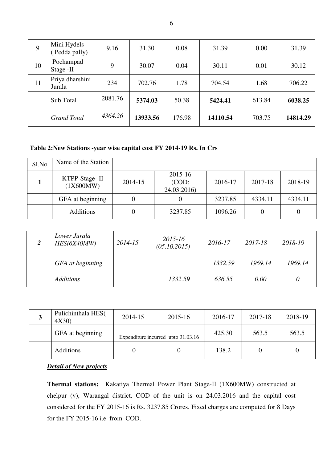| 9  | Mini Hydels<br>Pedda pally) | 9.16    | 31.30    | 0.08   | 31.39    | 0.00   | 31.39    |
|----|-----------------------------|---------|----------|--------|----------|--------|----------|
| 10 | Pochampad<br>Stage -II      | 9       | 30.07    | 0.04   | 30.11    | 0.01   | 30.12    |
| 11 | Priya dharshini<br>Jurala   | 234     | 702.76   | 1.78   | 704.54   | 1.68   | 706.22   |
|    | Sub Total                   | 2081.76 | 5374.03  | 50.38  | 5424.41  | 613.84 | 6038.25  |
|    | <b>Grand Total</b>          | 4364.26 | 13933.56 | 176.98 | 14110.54 | 703.75 | 14814.29 |

#### **Table 2:New Stations -year wise capital cost FY 2014-19 Rs. In Crs**

| Sl.No | Name of the Station        |         |                                 |         |                  |         |
|-------|----------------------------|---------|---------------------------------|---------|------------------|---------|
|       | KTPP-Stage-II<br>(1X600MW) | 2014-15 | 2015-16<br>(COD:<br>24.03.2016) | 2016-17 | 2017-18          | 2018-19 |
|       | GFA at beginning           |         |                                 | 3237.85 | 4334.11          | 4334.11 |
|       | <b>Additions</b>           |         | 3237.85                         | 1096.26 | $\left( \right)$ | 0       |

| 2 | Lower Jurala<br>HES(6X40MW) | 2014-15 | 2015-16<br>(05.10.2015) | 2016-17 | $2017 - 18$ | 2018-19 |
|---|-----------------------------|---------|-------------------------|---------|-------------|---------|
|   | GFA at beginning            |         |                         | 1332.59 | 1969.14     | 1969.14 |
|   | <b>Additions</b>            |         | 1332.59                 | 636.55  | 0.00        | 0       |

| J | Pulichinthala HES(<br>4X30) | 2014-15 | 2015-16                            | 2016-17 | 2017-18 | 2018-19 |
|---|-----------------------------|---------|------------------------------------|---------|---------|---------|
|   | GFA at beginning            |         | Expenditure incurred upto 31.03.16 | 425.30  | 563.5   | 563.5   |
|   | <b>Additions</b>            |         |                                    | 138.2   |         |         |

### *Detail of New projects*

**Thermal stations:** Kakatiya Thermal Power Plant Stage-II (1X600MW) constructed at chelpur (v), Warangal district. COD of the unit is on 24.03.2016 and the capital cost considered for the FY 2015-16 is Rs. 3237.85 Crores. Fixed charges are computed for 8 Days for the FY 2015-16 i.e from COD.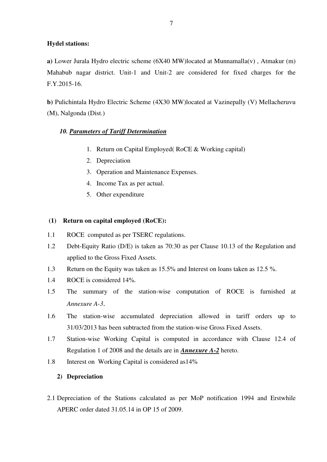#### **Hydel stations:**

**a)** Lower Jurala Hydro electric scheme (6X40 MW)located at Munnamalla(v) , Atmakur (m) Mahabub nagar district. Unit-1 and Unit-2 are considered for fixed charges for the F.Y.2015-16.

**b)** Pulichintala Hydro Electric Scheme (4X30 MW)located at Vazinepally (V) Mellacheruvu (M), Nalgonda (Dist.)

#### *10. Parameters of Tariff Determination*

- 1. Return on Capital Employed( RoCE & Working capital)
- 2. Depreciation
- 3. Operation and Maintenance Expenses.
- 4. Income Tax as per actual.
- 5. Other expenditure

#### **(1) Return on capital employed (RoCE):**

- 1.1 ROCE computed as per TSERC regulations.
- 1.2 Debt-Equity Ratio (D/E) is taken as 70:30 as per Clause 10.13 of the Regulation and applied to the Gross Fixed Assets.
- 1.3 Return on the Equity was taken as 15.5% and Interest on loans taken as 12.5 %.
- 1.4 ROCE is considered 14%.
- 1.5 The summary of the station-wise computation of ROCE is furnished at *Annexure A-3*.
- 1.6 The station-wise accumulated depreciation allowed in tariff orders up to 31/03/2013 has been subtracted from the station-wise Gross Fixed Assets.
- 1.7 Station-wise Working Capital is computed in accordance with Clause 12.4 of Regulation 1 of 2008 and the details are in *Annexure A-2* hereto.
- 1.8 Interest on Working Capital is considered as14%

#### **2) Depreciation**

2.1 Depreciation of the Stations calculated as per MoP notification 1994 and Erstwhile APERC order dated 31.05.14 in OP 15 of 2009.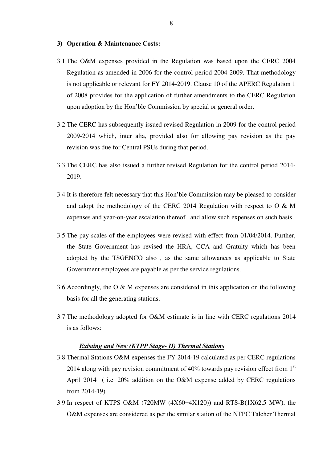#### **3) Operation & Maintenance Costs:**

- 3.1 The O&M expenses provided in the Regulation was based upon the CERC 2004 Regulation as amended in 2006 for the control period 2004-2009. That methodology is not applicable or relevant for FY 2014-2019. Clause 10 of the APERC Regulation 1 of 2008 provides for the application of further amendments to the CERC Regulation upon adoption by the Hon'ble Commission by special or general order.
- 3.2 The CERC has subsequently issued revised Regulation in 2009 for the control period 2009-2014 which, inter alia, provided also for allowing pay revision as the pay revision was due for Central PSUs during that period.
- 3.3 The CERC has also issued a further revised Regulation for the control period 2014- 2019.
- 3.4 It is therefore felt necessary that this Hon'ble Commission may be pleased to consider and adopt the methodology of the CERC 2014 Regulation with respect to  $O \& M$ expenses and year-on-year escalation thereof , and allow such expenses on such basis.
- 3.5 The pay scales of the employees were revised with effect from 01/04/2014. Further, the State Government has revised the HRA, CCA and Gratuity which has been adopted by the TSGENCO also , as the same allowances as applicable to State Government employees are payable as per the service regulations.
- 3.6 Accordingly, the O & M expenses are considered in this application on the following basis for all the generating stations.
- 3.7 The methodology adopted for O&M estimate is in line with CERC regulations 2014 is as follows:

#### *Existing and New (KTPP Stage- II) Thermal Stations*

- 3.8 Thermal Stations O&M expenses the FY 2014-19 calculated as per CERC regulations 2014 along with pay revision commitment of  $40\%$  towards pay revision effect from  $1<sup>st</sup>$ April 2014 ( i.e. 20% addition on the O&M expense added by CERC regulations from 2014-19).
- 3.9 In respect of KTPS O&M (7**2**0MW (4X60+4X120)) and RTS-B(1X62.5 MW), the O&M expenses are considered as per the similar station of the NTPC Talcher Thermal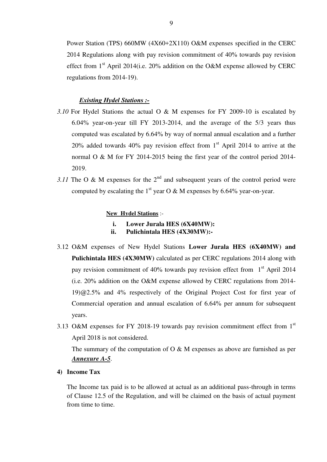Power Station (TPS) 660MW (4X60+2X110) O&M expenses specified in the CERC 2014 Regulations along with pay revision commitment of 40% towards pay revision effect from  $1<sup>st</sup>$  April 2014(i.e. 20% addition on the O&M expense allowed by CERC regulations from 2014-19).

#### *Existing Hydel Stations :-*

- *3.10* For Hydel Stations the actual O & M expenses for FY 2009-10 is escalated by 6.04% year-on-year till FY 2013-2014, and the average of the 5/3 years thus computed was escalated by 6.64% by way of normal annual escalation and a further 20% added towards 40% pay revision effect from  $1<sup>st</sup>$  April 2014 to arrive at the normal O & M for FY 2014-2015 being the first year of the control period 2014- 2019.
- *3.11* The O & M expenses for the  $2<sup>nd</sup>$  and subsequent years of the control period were computed by escalating the 1<sup>st</sup> year O & M expenses by 6.64% year-on-year.

#### **New Hydel Stations** :-

- **i. Lower Jurala HES (6X40MW):**
- **ii. Pulichintala HES (4X30MW):-**
- 3.12 O&M expenses of New Hydel Stations **Lower Jurala HES (6X40MW) and Pulichintala HES (4X30MW)** calculated as per CERC regulations 2014 along with pay revision commitment of 40% towards pay revision effect from  $1<sup>st</sup>$  April 2014 (i.e. 20% addition on the O&M expense allowed by CERC regulations from 2014- 19)@2.5% and 4% respectively of the Original Project Cost for first year of Commercial operation and annual escalation of 6.64% per annum for subsequent years.
- 3.13 O&M expenses for FY 2018-19 towards pay revision commitment effect from 1st April 2018 is not considered.

The summary of the computation of  $O \& M$  expenses as above are furnished as per *Annexure A-5*.

**4) Income Tax** 

The Income tax paid is to be allowed at actual as an additional pass-through in terms of Clause 12.5 of the Regulation, and will be claimed on the basis of actual payment from time to time.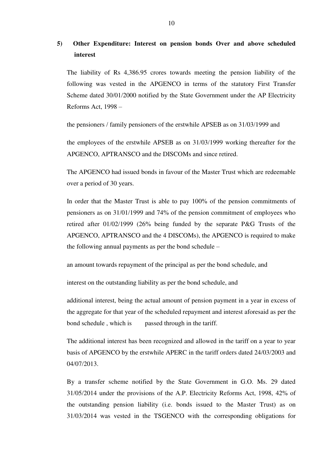### **5) Other Expenditure: Interest on pension bonds Over and above scheduled interest**

The liability of Rs 4,386.95 crores towards meeting the pension liability of the following was vested in the APGENCO in terms of the statutory First Transfer Scheme dated 30/01/2000 notified by the State Government under the AP Electricity Reforms Act, 1998 –

the pensioners / family pensioners of the erstwhile APSEB as on 31/03/1999 and

the employees of the erstwhile APSEB as on 31/03/1999 working thereafter for the APGENCO, APTRANSCO and the DISCOMs and since retired.

The APGENCO had issued bonds in favour of the Master Trust which are redeemable over a period of 30 years.

In order that the Master Trust is able to pay 100% of the pension commitments of pensioners as on 31/01/1999 and 74% of the pension commitment of employees who retired after 01/02/1999 (26% being funded by the separate P&G Trusts of the APGENCO, APTRANSCO and the 4 DISCOMs), the APGENCO is required to make the following annual payments as per the bond schedule –

an amount towards repayment of the principal as per the bond schedule, and

interest on the outstanding liability as per the bond schedule, and

additional interest, being the actual amount of pension payment in a year in excess of the aggregate for that year of the scheduled repayment and interest aforesaid as per the bond schedule, which is passed through in the tariff.

The additional interest has been recognized and allowed in the tariff on a year to year basis of APGENCO by the erstwhile APERC in the tariff orders dated 24/03/2003 and 04/07/2013.

By a transfer scheme notified by the State Government in G.O. Ms. 29 dated 31/05/2014 under the provisions of the A.P. Electricity Reforms Act, 1998, 42% of the outstanding pension liability (i.e. bonds issued to the Master Trust) as on 31/03/2014 was vested in the TSGENCO with the corresponding obligations for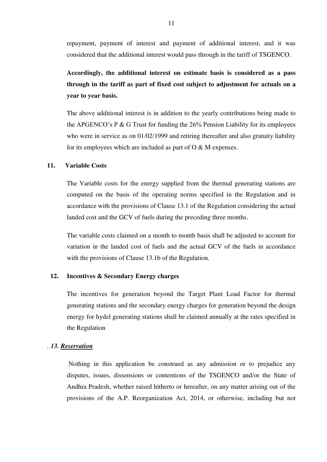repayment, payment of interest and payment of additional interest, and it was considered that the additional interest would pass through in the tariff of TSGENCO.

**Accordingly, the additional interest on estimate basis is considered as a pass through in the tariff as part of fixed cost subject to adjustment for actuals on a year to year basis.** 

The above additional interest is in addition to the yearly contributions being made to the APGENCO's P & G Trust for funding the 26% Pension Liability for its employees who were in service as on 01/02/1999 and retiring thereafter and also gratuity liability for its employees which are included as part of O & M expenses.

#### **11. Variable Costs**

The Variable costs for the energy supplied from the thermal generating stations are computed on the basis of the operating norms specified in the Regulation and in accordance with the provisions of Clause 13.1 of the Regulation considering the actual landed cost and the GCV of fuels during the preceding three months.

The variable costs claimed on a month to month basis shall be adjusted to account for variation in the landed cost of fuels and the actual GCV of the fuels in accordance with the provisions of Clause 13.1b of the Regulation.

#### **12. Incentives & Secondary Energy charges**

The incentives for generation beyond the Target Plant Load Factor for thermal generating stations and the secondary energy charges for generation beyond the design energy for hydel generating stations shall be claimed annually at the rates specified in the Regulation

#### . *13. Reservation*

 Nothing in this application be construed as any admission or to prejudice any disputes, issues, dissensions or contentions of the TSGENCO and/or the State of Andhra Pradesh, whether raised hitherto or hereafter, on any matter arising out of the provisions of the A.P. Reorganization Act, 2014, or otherwise, including but not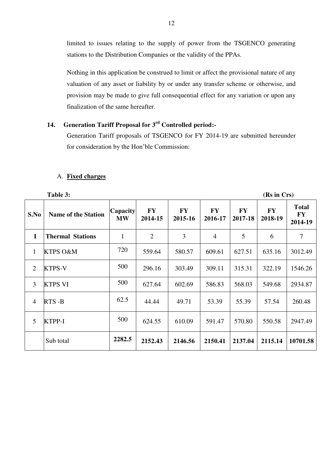limited to issues relating to the supply of power from the TSGENCO generating stations to the Distribution Companies or the validity of the PPAs.

Nothing in this application be construed to limit or affect the provisional nature of any valuation of any asset or liability by or under any transfer scheme or otherwise, and provision may be made to give full consequential effect for any variation or upon any finalization of the same hereafter.

# **14. Generation Tariff Proposal for 3rd Controlled period:-**

 Generation Tariff proposals of TSGENCO for FY 2014-19 are submitted hereunder for consideration by the Hon'ble Commission:

#### A. **Fixed charges**

|                | Table 3:                   |                              | (Rs in Crs)          |                      |                      |                      |                      |                                      |
|----------------|----------------------------|------------------------------|----------------------|----------------------|----------------------|----------------------|----------------------|--------------------------------------|
| S.No           | <b>Name of the Station</b> | <b>Capacity</b><br><b>MW</b> | <b>FY</b><br>2014-15 | <b>FY</b><br>2015-16 | <b>FY</b><br>2016-17 | <b>FY</b><br>2017-18 | <b>FY</b><br>2018-19 | <b>Total</b><br><b>FY</b><br>2014-19 |
| $\mathbf I$    | <b>Thermal Stations</b>    | 1                            | $\overline{2}$       | 3                    | $\overline{4}$       | 5                    | 6                    | $\overline{7}$                       |
| $\mathbf{1}$   | <b>KTPS O&amp;M</b>        | 720                          | 559.64               | 580.57               | 609.61               | 627.51               | 635.16               | 3012.49                              |
| $\overline{2}$ | <b>KTPS-V</b>              | 500                          | 296.16               | 303.49               | 309.11               | 315.31               | 322.19               | 1546.26                              |
| 3              | <b>KTPS VI</b>             | 500                          | 627.64               | 602.69               | 586.83               | 568.03               | 549.68               | 2934.87                              |
| $\overline{4}$ | RTS-B                      | 62.5                         | 44.44                | 49.71                | 53.39                | 55.39                | 57.54                | 260.48                               |
| 5              | KTPP-I                     | 500                          | 624.55               | 610.09               | 591.47               | 570.80               | 550.58               | 2947.49                              |
|                | Sub total                  | 2282.5                       | 2152.43              | 2146.56              | 2150.41              | 2137.04              | 2115.14              | 10701.58                             |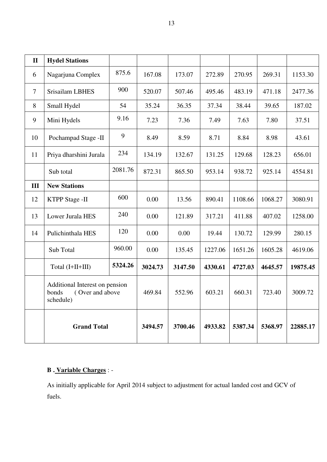| $\mathbf{I}$ | <b>Hydel Stations</b>                                                   |         |         |         |         |         |         |          |
|--------------|-------------------------------------------------------------------------|---------|---------|---------|---------|---------|---------|----------|
| 6            | Nagarjuna Complex                                                       | 875.6   | 167.08  | 173.07  | 272.89  | 270.95  | 269.31  | 1153.30  |
| $\tau$       | <b>Srisailam LBHES</b>                                                  | 900     | 520.07  | 507.46  | 495.46  | 483.19  | 471.18  | 2477.36  |
| 8            | Small Hydel                                                             | 54      | 35.24   | 36.35   | 37.34   | 38.44   | 39.65   | 187.02   |
| 9            | Mini Hydels                                                             | 9.16    | 7.23    | 7.36    | 7.49    | 7.63    | 7.80    | 37.51    |
| 10           | Pochampad Stage -II                                                     | 9       | 8.49    | 8.59    | 8.71    | 8.84    | 8.98    | 43.61    |
| 11           | Priya dharshini Jurala                                                  | 234     | 134.19  | 132.67  | 131.25  | 129.68  | 128.23  | 656.01   |
|              | Sub total                                                               | 2081.76 | 872.31  | 865.50  | 953.14  | 938.72  | 925.14  | 4554.81  |
| III          | <b>New Stations</b>                                                     |         |         |         |         |         |         |          |
| 12           | <b>KTPP Stage -II</b>                                                   | 600     | 0.00    | 13.56   | 890.41  | 1108.66 | 1068.27 | 3080.91  |
| 13           | Lower Jurala HES                                                        | 240     | 0.00    | 121.89  | 317.21  | 411.88  | 407.02  | 1258.00  |
| 14           | Pulichinthala HES                                                       | 120     | 0.00    | 0.00    | 19.44   | 130.72  | 129.99  | 280.15   |
|              | Sub Total                                                               | 960.00  | 0.00    | 135.45  | 1227.06 | 1651.26 | 1605.28 | 4619.06  |
|              | Total (I+II+III)                                                        | 5324.26 | 3024.73 | 3147.50 | 4330.61 | 4727.03 | 4645.57 | 19875.45 |
|              | Additional Interest on pension<br>bonds<br>(Over and above<br>schedule) |         | 469.84  | 552.96  | 603.21  | 660.31  | 723.40  | 3009.72  |
|              | <b>Grand Total</b>                                                      |         | 3494.57 | 3700.46 | 4933.82 | 5387.34 | 5368.97 | 22885.17 |

# **B . Variable Charges** : -

As initially applicable for April 2014 subject to adjustment for actual landed cost and GCV of fuels.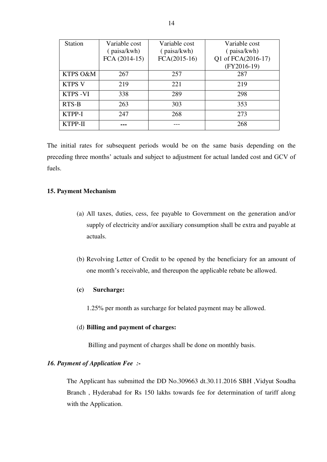| <b>Station</b>  | Variable cost | Variable cost  | Variable cost      |
|-----------------|---------------|----------------|--------------------|
|                 | (paisa/kwh)   | (paisa/kwh)    | (paisa/kwh)        |
|                 | FCA (2014-15) | $FCA(2015-16)$ | Q1 of FCA(2016-17) |
|                 |               |                | $(FY2016-19)$      |
| KTPS O&M        | 267           | 257            | 287                |
| <b>KTPS V</b>   | 219           | 221            | 219                |
| <b>KTPS -VI</b> | 338           | 289            | 298                |
| RTS-B           | 263           | 303            | 353                |
| KTPP-I          | 247           | 268            | 273                |
| KTPP-II         |               |                | 268                |

The initial rates for subsequent periods would be on the same basis depending on the preceding three months' actuals and subject to adjustment for actual landed cost and GCV of fuels.

#### **15. Payment Mechanism**

- (a) All taxes, duties, cess, fee payable to Government on the generation and/or supply of electricity and/or auxiliary consumption shall be extra and payable at actuals.
- (b) Revolving Letter of Credit to be opened by the beneficiary for an amount of one month's receivable, and thereupon the applicable rebate be allowed.

#### **(c) Surcharge:**

1.25% per month as surcharge for belated payment may be allowed.

#### (d) **Billing and payment of charges:**

Billing and payment of charges shall be done on monthly basis.

#### *16. Payment of Application Fee :-*

 The Applicant has submitted the DD No.309663 dt.30.11.2016 SBH ,Vidyut Soudha Branch , Hyderabad for Rs 150 lakhs towards fee for determination of tariff along with the Application.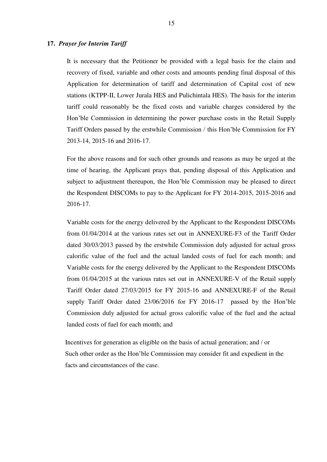#### **17.** *Prayer for Interim Tariff*

It is necessary that the Petitioner be provided with a legal basis for the claim and recovery of fixed, variable and other costs and amounts pending final disposal of this Application for determination of tariff and determination of Capital cost of new stations (KTPP-II, Lower Jurala HES and Pulichintala HES). The basis for the interim tariff could reasonably be the fixed costs and variable charges considered by the Hon'ble Commission in determining the power purchase costs in the Retail Supply Tariff Orders passed by the erstwhile Commission / this Hon'ble Commission for FY 2013-14, 2015-16 and 2016-17.

For the above reasons and for such other grounds and reasons as may be urged at the time of hearing, the Applicant prays that, pending disposal of this Application and subject to adjustment thereupon, the Hon'ble Commission may be pleased to direct the Respondent DISCOMs to pay to the Applicant for FY 2014-2015, 2015-2016 and 2016-17.

Variable costs for the energy delivered by the Applicant to the Respondent DISCOMs from 01/04/2014 at the various rates set out in ANNEXURE-F3 of the Tariff Order dated 30/03/2013 passed by the erstwhile Commission duly adjusted for actual gross calorific value of the fuel and the actual landed costs of fuel for each month; and Variable costs for the energy delivered by the Applicant to the Respondent DISCOMs from 01/04/2015 at the various rates set out in ANNEXURE-V of the Retail supply Tariff Order dated 27/03/2015 for FY 2015-16 and ANNEXURE-F of the Retail supply Tariff Order dated 23/06/2016 for FY 2016-17 passed by the Hon'ble Commission duly adjusted for actual gross calorific value of the fuel and the actual landed costs of fuel for each month; and

 Incentives for generation as eligible on the basis of actual generation; and / or Such other order as the Hon'ble Commission may consider fit and expedient in the facts and circumstances of the case.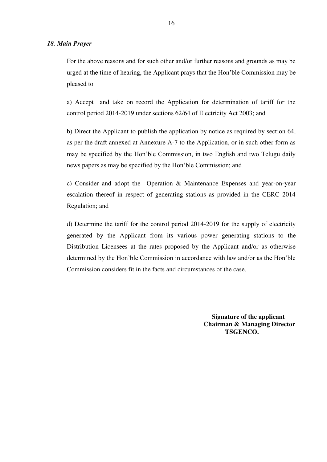#### *18. Main Prayer*

For the above reasons and for such other and/or further reasons and grounds as may be urged at the time of hearing, the Applicant prays that the Hon'ble Commission may be pleased to

a) Accept and take on record the Application for determination of tariff for the control period 2014-2019 under sections 62/64 of Electricity Act 2003; and

b) Direct the Applicant to publish the application by notice as required by section 64, as per the draft annexed at Annexure A-7 to the Application, or in such other form as may be specified by the Hon'ble Commission, in two English and two Telugu daily news papers as may be specified by the Hon'ble Commission; and

c) Consider and adopt the Operation & Maintenance Expenses and year-on-year escalation thereof in respect of generating stations as provided in the CERC 2014 Regulation; and

d) Determine the tariff for the control period 2014-2019 for the supply of electricity generated by the Applicant from its various power generating stations to the Distribution Licensees at the rates proposed by the Applicant and/or as otherwise determined by the Hon'ble Commission in accordance with law and/or as the Hon'ble Commission considers fit in the facts and circumstances of the case.

> **Signature of the applicant Chairman & Managing Director TSGENCO.**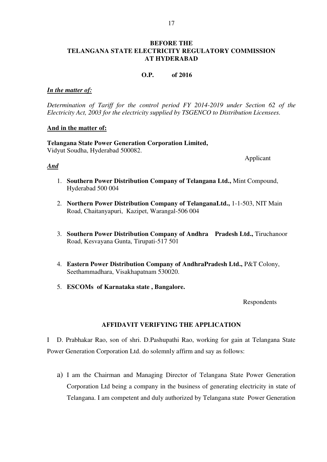#### **BEFORE THE TELANGANA STATE ELECTRICITY REGULATORY COMMISSION AT HYDERABAD**

#### **O.P. of 2016**

#### *In the matter of:*

*Determination of Tariff for the control period FY 2014-2019 under Section 62 of the Electricity Act, 2003 for the electricity supplied by TSGENCO to Distribution Licensees.*

#### **And in the matter of:**

**Telangana State Power Generation Corporation Limited,** Vidyut Soudha, Hyderabad 500082.

#### *And*

Applicant

- 1. **Southern Power Distribution Company of Telangana Ltd.,** Mint Compound, Hyderabad 500 004
- 2. **Northern Power Distribution Company of TelanganaLtd.,** 1-1-503, NIT Main Road, Chaitanyapuri, Kazipet, Warangal-506 004
- 3. **Southern Power Distribution Company of Andhra Pradesh Ltd.,** Tiruchanoor Road, Kesvayana Gunta, Tirupati-517 501
- 4. **Eastern Power Distribution Company of AndhraPradesh Ltd.,** P&T Colony, Seethammadhara, Visakhapatnam 530020.
- 5. **ESCOMs of Karnataka state , Bangalore.**

Respondents

#### **AFFIDAVIT VERIFYING THE APPLICATION**

I D. Prabhakar Rao, son of shri. D.Pashupathi Rao, working for gain at Telangana State Power Generation Corporation Ltd. do solemnly affirm and say as follows:

a) I am the Chairman and Managing Director of Telangana State Power Generation Corporation Ltd being a company in the business of generating electricity in state of Telangana. I am competent and duly authorized by Telangana state Power Generation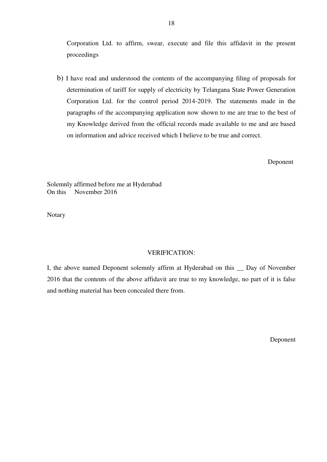Corporation Ltd. to affirm, swear, execute and file this affidavit in the present proceedings

b) I have read and understood the contents of the accompanying filing of proposals for determination of tariff for supply of electricity by Telangana State Power Generation Corporation Ltd. for the control period 2014-2019. The statements made in the paragraphs of the accompanying application now shown to me are true to the best of my Knowledge derived from the official records made available to me and are based on information and advice received which I believe to be true and correct.

Deponent

Solemnly affirmed before me at Hyderabad On this November 2016

Notary

#### VERIFICATION:

I, the above named Deponent solemnly affirm at Hyderabad on this \_\_ Day of November 2016 that the contents of the above affidavit are true to my knowledge, no part of it is false and nothing material has been concealed there from.

Deponent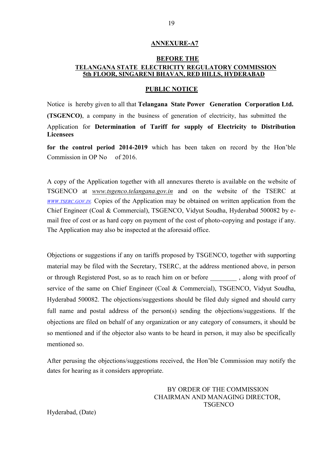#### **ANNEXURE-A7**

#### **BEFORE THE TELANGANA STATE ELECTRICITY REGULATORY COMMISSION 5th FLOOR, SINGARENI BHAVAN, RED HILLS, HYDERABAD**

#### **PUBLIC NOTICE**

Notice is hereby given to all that **Telangana State Power Generation Corporation Ltd. (TSGENCO)**, a company in the business of generation of electricity, has submitted the Application for **Determination of Tariff for supply of Electricity to Distribution Licensees**

**for the control period 2014-2019** which has been taken on record by the Hon'ble Commission in OP No of 2016.

A copy of the Application together with all annexures thereto is available on the website of TSGENCO at *www.tsgenco.telangana.gov.in* and on the website of the TSERC at *WWW.[TSERC](http://www.tserc.gov.in/).GOV.IN.* Copies of the Application may be obtained on written application from the Chief Engineer (Coal & Commercial), TSGENCO, Vidyut Soudha, Hyderabad 500082 by email free of cost or as hard copy on payment of the cost of photo-copying and postage if any. The Application may also be inspected at the aforesaid office.

Objections or suggestions if any on tariffs proposed by TSGENCO, together with supporting material may be filed with the Secretary, TSERC, at the address mentioned above, in person or through Registered Post, so as to reach him on or before , along with proof of service of the same on Chief Engineer (Coal & Commercial), TSGENCO, Vidyut Soudha, Hyderabad 500082. The objections/suggestions should be filed duly signed and should carry full name and postal address of the person(s) sending the objections/suggestions. If the objections are filed on behalf of any organization or any category of consumers, it should be so mentioned and if the objector also wants to be heard in person, it may also be specifically mentioned so.

After perusing the objections/suggestions received, the Hon'ble Commission may notify the dates for hearing as it considers appropriate.

> BY ORDER OF THE COMMISSION CHAIRMAN AND MANAGING DIRECTOR, **TSGENCO**

Hyderabad, (Date)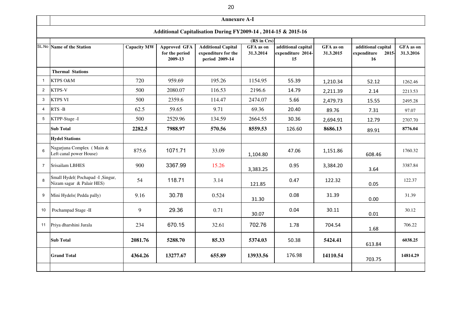|                 |                                                               |                    |                                                  | <b>Annexure A-I</b>                                                |                        |                                               |                        |                                                         |                      |
|-----------------|---------------------------------------------------------------|--------------------|--------------------------------------------------|--------------------------------------------------------------------|------------------------|-----------------------------------------------|------------------------|---------------------------------------------------------|----------------------|
|                 |                                                               |                    |                                                  | Additional Capitalisation During FY2009-14, 2014-15 & 2015-16      |                        |                                               |                        |                                                         |                      |
|                 |                                                               |                    |                                                  |                                                                    | $(RS \text{ in } Crs)$ |                                               |                        |                                                         |                      |
|                 | SL.No Name of the Station                                     | <b>Capacity MW</b> | <b>Approved GFA</b><br>for the period<br>2009-13 | <b>Additional Capital</b><br>expenditure for the<br>period 2009-14 | GFA as on<br>31.3.2014 | additional capital<br>expenditure 2014-<br>15 | GFA as on<br>31.3.2015 | additional capital<br>expenditure<br>2015-<br><b>16</b> | GFA as o<br>31.3.201 |
|                 | <b>Thermal Stations</b>                                       |                    |                                                  |                                                                    |                        |                                               |                        |                                                         |                      |
| - 1             | <b>KTPS O&amp;M</b>                                           | 720                | 959.69                                           | 195.26                                                             | 1154.95                | 55.39                                         | 1,210.34               | 52.12                                                   | 1262.46              |
| 2               | <b>KTPS-V</b>                                                 | 500                | 2080.07                                          | 116.53                                                             | 2196.6                 | 14.79                                         | 2,211.39               | 2.14                                                    | 2213.53              |
| 3               | <b>KTPS VI</b>                                                | 500                | 2359.6                                           | 114.47                                                             | 2474.07                | 5.66                                          | 2,479.73               | 15.55                                                   | 2495.28              |
| 4               | RTS-B                                                         | 62.5               | 59.65                                            | 9.71                                                               | 69.36                  | 20.40                                         | 89.76                  | 7.31                                                    | 97.07                |
| $5\phantom{.0}$ | KTPP-Stage -I                                                 | 500                | 2529.96                                          | 134.59                                                             | 2664.55                | 30.36                                         | 2,694.91               | 12.79                                                   | 2707.70              |
|                 | <b>Sub Total</b>                                              | 2282.5             | 7988.97                                          | 570.56                                                             | 8559.53                | 126.60                                        | 8686.13                | 89.91                                                   | 8776.04              |
|                 | <b>Hydel Stations</b>                                         |                    |                                                  |                                                                    |                        |                                               |                        |                                                         |                      |
| $6\overline{6}$ | Nagarjuna Complex (Main &<br>Left canal power House)          | 875.6              | 1071.71                                          | 33.09                                                              | 1,104.80               | 47.06                                         | 1,151.86               | 608.46                                                  | 1760.32              |
| $\overline{7}$  | <b>Srisailam LBHES</b>                                        | 900                | 3367.99                                          | 15.26                                                              | 3,383.25               | 0.95                                          | 3,384.20               | 3.64                                                    | 3387.84              |
| 8               | Small Hydel(Pochapad -I, Singur,<br>Nizam sagar & Palair HES) | 54                 | 118.71                                           | 3.14                                                               | 121.85                 | 0.47                                          | 122.32                 | 0.05                                                    | 122.37               |
| 9               | Mini Hydels (Pedda pally)                                     | 9.16               | 30.78                                            | 0.524                                                              | 31.30                  | 0.08                                          | 31.39                  | 0.00                                                    | 31.39                |
| 10              | Pochampad Stage -II                                           | 9                  | 29.36                                            | 0.71                                                               | 30.07                  | 0.04                                          | 30.11                  | 0.01                                                    | 30.12                |
| 11              | Priya dharshini Jurala                                        | 234                | 670.15                                           | 32.61                                                              | 702.76                 | 1.78                                          | 704.54                 | 1.68                                                    | 706.22               |
|                 | <b>Sub Total</b>                                              | 2081.76            | 5288.70                                          | 85.33                                                              | 5374.03                | 50.38                                         | 5424.41                | 613.84                                                  | 6038.25              |
|                 | <b>Grand Total</b>                                            | 4364.26            | 13277.67                                         | 655.89                                                             | 13933.56               | 176.98                                        | 14110.54               | 703.75                                                  | 14814.2              |
|                 |                                                               |                    |                                                  |                                                                    |                        |                                               |                        |                                                         |                      |

| additional capital<br>expenditure 2015-<br>16 | <b>GFA</b> as on<br>31.3.2016 |
|-----------------------------------------------|-------------------------------|
|                                               |                               |
| 52.12                                         | 1262.46                       |
| 2.14                                          | 2213.53                       |
| 15.55                                         | 2495.28                       |
| 7.31                                          | 97.07                         |
| 12.79                                         | 2707.70                       |
| 89.91                                         | 8776.04                       |
|                                               |                               |
| 608.46                                        | 1760.32                       |
| 3.64                                          | 3387.84                       |
| 0.05                                          | 122.37                        |
| 0.00                                          | 31.39                         |
| 0.01                                          | 30.12                         |
| 1.68                                          | 706.22                        |
| 613.84                                        | 6038.25                       |
| 703.75                                        | 14814.29                      |
|                                               |                               |

20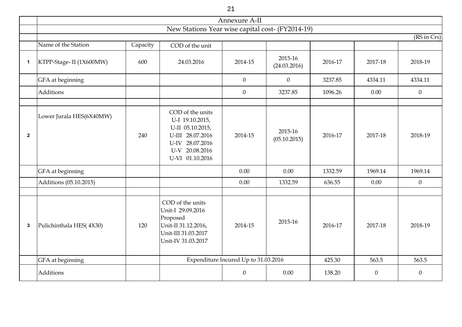|                  |                          |          |                                                                                                                                     | 21                                   |                         |         |                |                |
|------------------|--------------------------|----------|-------------------------------------------------------------------------------------------------------------------------------------|--------------------------------------|-------------------------|---------|----------------|----------------|
|                  |                          |          |                                                                                                                                     | Annexure A-II                        |                         |         |                |                |
|                  |                          |          | New Stations Year wise capital cost- (FY2014-19)                                                                                    |                                      |                         |         |                |                |
|                  | Name of the Station      | Capacity | COD of the unit                                                                                                                     |                                      |                         |         |                | (RS in Crs)    |
|                  |                          |          |                                                                                                                                     |                                      |                         |         |                |                |
| $\mathbf 1$      | KTPP-Stage- II (1X600MW) | 600      | 24.03.2016                                                                                                                          | 2014-15                              | 2015-16<br>(24.03.2016) | 2016-17 | 2017-18        | 2018-19        |
|                  | GFA at beginning         |          |                                                                                                                                     | $\theta$                             | $\boldsymbol{0}$        | 3237.85 | 4334.11        | 4334.11        |
|                  | Additions                |          |                                                                                                                                     | $\overline{0}$                       | 3237.85                 | 1096.26 | 0.00           | $\overline{0}$ |
|                  |                          |          |                                                                                                                                     |                                      |                         |         |                |                |
| $\mathbf{2}$     | Lower Jurala HES(6X40MW) | 240      | COD of the units<br>U-I 19.10.2015,<br>U-II 05.10.2015,<br>U-III 28.07.2016<br>U-IV 28.07.2016<br>U-V 20.08.2016<br>U-VI 01.10.2016 | 2014-15                              | 2015-16<br>(05.10.2015) | 2016-17 | 2017-18        | 2018-19        |
|                  | GFA at beginning         |          |                                                                                                                                     | 0.00                                 | 0.00                    | 1332.59 | 1969.14        | 1969.14        |
|                  | Additions (05.10.2015)   |          |                                                                                                                                     | 0.00                                 | 1332.59                 | 636.55  | 0.00           | $\overline{0}$ |
|                  |                          |          |                                                                                                                                     |                                      |                         |         |                |                |
| $\boldsymbol{3}$ | Pulichinthala HES(4X30)  | 120      | COD of the units<br>Unit-I 29.09.2016<br>Proposed<br>Unit-II 31.12.2016,<br>Unit-III 31.03.2017<br>Unit-IV 31.03.2017               | 2014-15                              | 2015-16                 | 2016-17 | 2017-18        | 2018-19        |
|                  | GFA at beginning         |          |                                                                                                                                     | Expenditure Incured Up to 31.03.2016 |                         | 425.30  | 563.5          | 563.5          |
|                  | Additions                |          |                                                                                                                                     | $\overline{0}$                       | $0.00\,$                | 138.20  | $\overline{0}$ | $\overline{0}$ |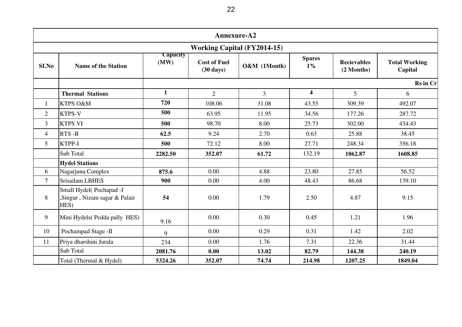|                   |                                                                 |                  |                                            | Annexure-A2                        |                         |                                  |                                 |
|-------------------|-----------------------------------------------------------------|------------------|--------------------------------------------|------------------------------------|-------------------------|----------------------------------|---------------------------------|
|                   |                                                                 |                  |                                            | <b>Working Capital (FY2014-15)</b> |                         |                                  |                                 |
| S <sub>I.No</sub> | <b>Name of the Station</b>                                      | Capacity<br>(MW) | <b>Cost of Fuel</b><br>$(30 \text{ days})$ | O&M (1Month)                       | <b>Spares</b><br>$1\%$  | <b>Recievables</b><br>(2 Months) | <b>Total Working</b><br>Capital |
|                   |                                                                 |                  |                                            |                                    |                         |                                  | Rs in Cr                        |
|                   | <b>Thermal Stations</b>                                         | $\mathbf{1}$     | $\overline{2}$                             | $\overline{3}$                     | $\overline{\mathbf{4}}$ | 5                                | 6                               |
| $\mathbf{1}$      | KTPS O&M                                                        | 720              | 108.06                                     | 31.08                              | 43.55                   | 309.39                           | 492.07                          |
| 2                 | KTPS-V                                                          | 500              | 63.95                                      | 11.95                              | 34.56                   | 177.26                           | 287.72                          |
| $\overline{3}$    | <b>KTPS VI</b>                                                  | 500              | 98.70                                      | 8.00                               | 25.73                   | 302.00                           | 434.43                          |
| $\overline{4}$    | RTS-B                                                           | 62.5             | 9.24                                       | 2.70                               | 0.63                    | 25.88                            | 38.45                           |
| 5                 | KTPP-I                                                          | 500              | 72.12                                      | 8.00                               | 27.71                   | 248.34                           | 356.18                          |
|                   | Sub Total                                                       | 2282.50          | 352.07                                     | 61.72                              | 132.19                  | 1062.87                          | 1608.85                         |
|                   | <b>Hydel Stations</b>                                           |                  |                                            |                                    |                         |                                  |                                 |
| 6                 | Nagarjuna Complex                                               | 875.6            | 0.00                                       | 4.88                               | 23.80                   | 27.85                            | 56.52                           |
| $\overline{7}$    | Srisailam LBHES                                                 | 900              | 0.00                                       | 4.00                               | 48.43                   | 86.68                            | 139.10                          |
| 8                 | Small Hydel(Pochapad -I<br>Singur, Nizam sagar & Palair<br>HES) | 54               | 0.00                                       | 1.79                               | 2.50                    | 4.87                             | 9.15                            |
| 9                 | Mini Hydels (Pedda pally HES)                                   | 9.16             | 0.00                                       | 0.30                               | 0.45                    | 1.21                             | 1.96                            |
| 10                | Pochampad Stage -II                                             | 9                | 0.00                                       | 0.29                               | 0.31                    | 1.42                             | 2.02                            |
| 11                | Priya dharshini Jurala                                          | 234              | 0.00                                       | 1.76                               | 7.31                    | 22.36                            | 31.44                           |
|                   | Sub Total                                                       | 2081.76          | 0.00                                       | 13.02                              | 82.79                   | 144.38                           | 240.19                          |
|                   | Total (Thermal & Hydel)                                         | 5324.26          | 352.07                                     | 74.74                              | 214.98                  | 1207.25                          | 1849.04                         |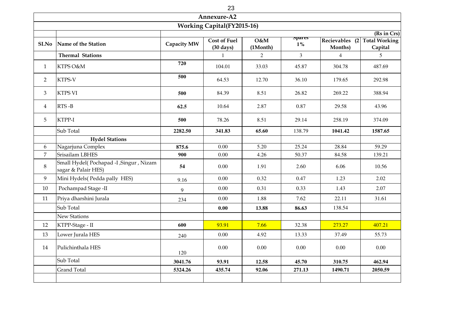|                |                                                                |             | Annexure-A2                                |                 |                        |                |                                                        |
|----------------|----------------------------------------------------------------|-------------|--------------------------------------------|-----------------|------------------------|----------------|--------------------------------------------------------|
|                |                                                                |             | <b>Working Capital(FY2015-16)</b>          |                 |                        |                |                                                        |
| SI.No          | Name of the Station                                            | Capacity MW | <b>Cost of Fuel</b><br>$(30 \text{ days})$ | O&M<br>(1Month) | <b>Spares</b><br>$1\%$ | Months)        | (Rs in Crs)<br>Recievables (2 Total Working<br>Capital |
|                | <b>Thermal Stations</b>                                        |             | 1                                          | $\overline{2}$  | $\overline{3}$         | $\overline{4}$ | 5 <sup>5</sup>                                         |
| $\mathbf{1}$   | KTPS O&M                                                       | 720         | 104.01                                     | 33.03           | 45.87                  | 304.78         | 487.69                                                 |
| 2              | KTPS-V                                                         | 500         | 64.53                                      | 12.70           | 36.10                  | 179.65         | 292.98                                                 |
| $\mathfrak{Z}$ | <b>KTPS VI</b>                                                 | 500         | 84.39                                      | 8.51            | 26.82                  | 269.22         | 388.94                                                 |
| $\overline{4}$ | $RTS - B$                                                      | 62.5        | 10.64                                      | 2.87            | 0.87                   | 29.58          | 43.96                                                  |
| 5              | KTPP-I                                                         | 500         | 78.26                                      | 8.51            | 29.14                  | 258.19         | 374.09                                                 |
|                | Sub Total                                                      | 2282.50     | 341.83                                     | 65.60           | 138.79                 | 1041.42        | 1587.65                                                |
|                | <b>Hydel Stations</b>                                          |             |                                            |                 |                        |                |                                                        |
| 6              | Nagarjuna Complex                                              | 875.6       | 0.00                                       | 5.20            | 25.24                  | 28.84          | 59.29                                                  |
| $\overline{7}$ | Srisailam LBHES                                                | 900         | 0.00                                       | 4.26            | 50.37                  | 84.58          | 139.21                                                 |
| 8              | Small Hydel(Pochapad -I , Singur, Nizam<br>sagar & Palair HES) | 54          | 0.00                                       | 1.91            | 2.60                   | 6.06           | 10.56                                                  |
| 9              | Mini Hydels (Pedda pally HES)                                  | 9.16        | 0.00                                       | 0.32            | 0.47                   | 1.23           | 2.02                                                   |
| 10             | Pochampad Stage -II                                            | 9           | 0.00                                       | 0.31            | 0.33                   | 1.43           | 2.07                                                   |
| 11             | Priya dharshini Jurala                                         | 234         | 0.00                                       | 1.88            | 7.62                   | 22.11          | 31.61                                                  |
|                | Sub Total                                                      |             | 0.00                                       | 13.88           | 86.63                  | 138.54         |                                                        |
|                | <b>New Stations</b>                                            |             |                                            |                 |                        |                |                                                        |
| 12             | KTPP-Stage - II                                                | 600         | 93.91                                      | 7.66            | 32.38                  | 273.27         | 407.21                                                 |
| 13             | Lower Jurala HES                                               | 240         | $0.00\,$                                   | 4.92            | 13.33                  | 37.49          | 55.73                                                  |
| 14             | Pulichinthala HES                                              | 120         | 0.00                                       | 0.00            | 0.00                   | 0.00           | 0.00                                                   |
|                | Sub Total                                                      | 3041.76     | 93.91                                      | 12.58           | 45.70                  | 310.75         | 462.94                                                 |
|                | <b>Grand Total</b>                                             | 5324.26     | 435.74                                     | 92.06           | 271.13                 | 1490.71        | 2050.59                                                |
|                |                                                                |             |                                            |                 |                        |                |                                                        |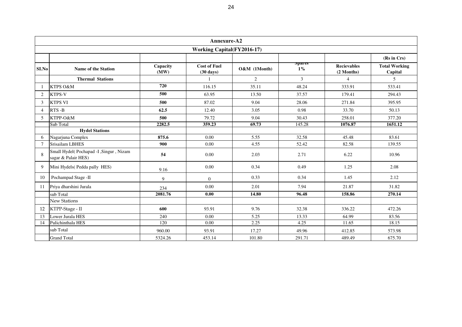|                |                                                               |                  | Annexure-A2                                |              |                |                                  |                                 |  |  |  |  |  |  |  |
|----------------|---------------------------------------------------------------|------------------|--------------------------------------------|--------------|----------------|----------------------------------|---------------------------------|--|--|--|--|--|--|--|
|                | <b>Working Capital(FY2016-17)</b>                             |                  |                                            |              |                |                                  |                                 |  |  |  |  |  |  |  |
|                |                                                               | <b>Spares</b>    |                                            | (Rs in Crs)  |                |                                  |                                 |  |  |  |  |  |  |  |
| <b>SI.No</b>   | <b>Name of the Station</b>                                    | Capacity<br>(MW) | <b>Cost of Fuel</b><br>$(30 \text{ days})$ | O&M (1Month) | $1\%$          | <b>Recievables</b><br>(2 Months) | <b>Total Working</b><br>Capital |  |  |  |  |  |  |  |
|                | <b>Thermal Stations</b>                                       |                  | $\mathbf{1}$                               | $\mathbf{2}$ | $\overline{3}$ | $\overline{4}$                   | 5                               |  |  |  |  |  |  |  |
|                | KTPS O&M                                                      | 720              | 116.15                                     | 35.11        | 48.24          | 333.91                           | 533.41                          |  |  |  |  |  |  |  |
| $\overline{2}$ | KTPS-V                                                        | 500              | 63.95                                      | 13.50        | 37.57          | 179.41                           | 294.43                          |  |  |  |  |  |  |  |
| 3              | <b>KTPS VI</b>                                                | 500              | 87.02                                      | 9.04         | 28.06          | 271.84                           | 395.95                          |  |  |  |  |  |  |  |
| $\overline{4}$ | RTS-B                                                         | 62.5             | 12.40                                      | 3.05         | 0.98           | 33.70                            | 50.13                           |  |  |  |  |  |  |  |
| 5              | KTPP-O&M                                                      | 500              | 79.72                                      | 9.04         | 30.43          | 258.01                           | 377.20                          |  |  |  |  |  |  |  |
|                | Sub Total                                                     | 2282.5           | 359.23                                     | 69.73        | 145.28         | 1076.87                          | 1651.12                         |  |  |  |  |  |  |  |
|                | <b>Hydel Stations</b>                                         |                  |                                            |              |                |                                  |                                 |  |  |  |  |  |  |  |
| 6              | Nagarjuna Complex                                             | 875.6            | 0.00                                       | 5.55         | 32.58          | 45.48                            | 83.61                           |  |  |  |  |  |  |  |
| $\overline{7}$ | Srisailam LBHES                                               | 900              | 0.00                                       | 4.55         | 52.42          | 82.58                            | 139.55                          |  |  |  |  |  |  |  |
| 8              | Small Hydel(Pochapad -I, Singur, Nizam<br>sagar & Palair HES) | 54               | 0.00                                       | 2.03         | 2.71           | 6.22                             | 10.96                           |  |  |  |  |  |  |  |
| 9              | Mini Hydels(Pedda pally HES)                                  | 9.16             | 0.00                                       | 0.34         | 0.49           | 1.25                             | 2.08                            |  |  |  |  |  |  |  |
| 10             | Pochampad Stage -II                                           | 9                | $\mathbf{0}$                               | 0.33         | 0.34           | 1.45                             | 2.12                            |  |  |  |  |  |  |  |
| 11             | Priya dharshini Jurala                                        | 234              | 0.00                                       | 2.01         | 7.94           | 21.87                            | 31.82                           |  |  |  |  |  |  |  |
|                | sub Total                                                     | 2081.76          | 0.00                                       | 14.80        | 96.48          | 158.86                           | 270.14                          |  |  |  |  |  |  |  |
|                | <b>New Stations</b>                                           |                  |                                            |              |                |                                  |                                 |  |  |  |  |  |  |  |
| 12             | KTPP-Stage - II                                               | 600              | 93.91                                      | 9.76         | 32.38          | 336.22                           | 472.26                          |  |  |  |  |  |  |  |
| 13             | Lower Jurala HES                                              | 240              | 0.00                                       | 5.25         | 13.33          | 64.99                            | 83.56                           |  |  |  |  |  |  |  |
| 14             | Pulichinthala HES                                             | 120              | 0.00                                       | 2.25         | 4.25           | 11.65                            | 18.15                           |  |  |  |  |  |  |  |
|                | sub Total                                                     | 960.00           | 93.91                                      | 17.27        | 49.96          | 412.85                           | 573.98                          |  |  |  |  |  |  |  |
|                | <b>Grand Total</b>                                            | 5324.26          | 453.14                                     | 101.80       | 291.71         | 489.49                           | 675.70                          |  |  |  |  |  |  |  |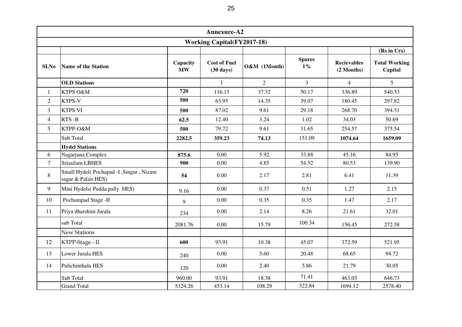|                |                                                               |                       | Annexure-A2                                |                |                        |                                  |                                 |  |  |  |  |  |  |  |
|----------------|---------------------------------------------------------------|-----------------------|--------------------------------------------|----------------|------------------------|----------------------------------|---------------------------------|--|--|--|--|--|--|--|
|                | <b>Working Capital(FY2017-18)</b>                             |                       |                                            |                |                        |                                  |                                 |  |  |  |  |  |  |  |
|                |                                                               |                       |                                            |                |                        |                                  | (Rs in Crs)                     |  |  |  |  |  |  |  |
| SI.No          | <b>Name of the Station</b>                                    | Capacity<br><b>MW</b> | <b>Cost of Fuel</b><br>$(30 \text{ days})$ | O&M (1Month)   | <b>Spares</b><br>$1\%$ | <b>Recievables</b><br>(2 Months) | <b>Total Working</b><br>Capital |  |  |  |  |  |  |  |
|                | <b>OLD</b> Stations                                           |                       | 1                                          | $\overline{2}$ | $\overline{3}$         | $\overline{4}$                   | $\overline{5}$                  |  |  |  |  |  |  |  |
| $\mathbf{1}$   | KTPS O&M                                                      | 720                   | 116.15                                     | 37.32          | 50.17                  | 336.89                           | 540.53                          |  |  |  |  |  |  |  |
| $\overline{2}$ | KTPS-V                                                        | 500                   | 63.95                                      | 14.35          | 39.07                  | 180.45                           | 297.82                          |  |  |  |  |  |  |  |
| $\overline{3}$ | <b>KTPS VI</b>                                                | 500                   | 87.02                                      | 9.61           | 29.18                  | 268.70                           | 394.51                          |  |  |  |  |  |  |  |
| $\overline{4}$ | $RTS - B$                                                     | 62.5                  | 12.40                                      | 3.24           | 1.02                   | 34.03                            | 50.69                           |  |  |  |  |  |  |  |
| 5              | KTPP-O&M                                                      | 500                   | 79.72                                      | 9.61           | 31.65                  | 254.57                           | 375.54                          |  |  |  |  |  |  |  |
|                | Sub Total                                                     | 2282.5                | 359.23                                     | 74.13          | 151.09                 | 1074.64                          | 1659.09                         |  |  |  |  |  |  |  |
|                | <b>Hydel Stations</b>                                         |                       |                                            |                |                        |                                  |                                 |  |  |  |  |  |  |  |
| 6              | Nagarjuna Complex                                             | 875.6                 | 0.00                                       | 5.92           | 33.88                  | 45.16                            | 84.95                           |  |  |  |  |  |  |  |
| $\overline{7}$ | Srisailam LBHES                                               | 900                   | 0.00                                       | 4.85           | 54.52                  | 80.53                            | 139.90                          |  |  |  |  |  |  |  |
| 8              | Small Hydel(Pochapad -I, Singur, Nizam<br>sagar & Palair HES) | 54                    | 0.00                                       | 2.17           | 2.81                   | 6.41                             | 11.39                           |  |  |  |  |  |  |  |
| 9              | Mini Hydels (Pedda pally HES)                                 | 9.16                  | 0.00                                       | 0.37           | 0.51                   | 1.27                             | 2.15                            |  |  |  |  |  |  |  |
| 10             | Pochampad Stage -II                                           | 9                     | 0.00                                       | 0.35           | 0.35                   | 1.47                             | 2.17                            |  |  |  |  |  |  |  |
| 11             | Priya dharshini Jurala                                        | 234                   | 0.00                                       | 2.14           | 8.26                   | 21.61                            | 32.01                           |  |  |  |  |  |  |  |
|                | sub Total                                                     | 2081.76               | 0.00                                       | 15.79          | 100.34                 | 156.45                           | 272.58                          |  |  |  |  |  |  |  |
|                | <b>New Stations</b>                                           |                       |                                            |                |                        |                                  |                                 |  |  |  |  |  |  |  |
| 12             | KTPP-Stage - II                                               | 600                   | 93.91                                      | 10.38          | 45.07                  | 372.59                           | 521.95                          |  |  |  |  |  |  |  |
| 13             | Lower Jurala HES                                              | 240                   | 0.00                                       | 5.60           | 20.48                  | 68.65                            | 94.72                           |  |  |  |  |  |  |  |
| 14             | Pulichinthala HES                                             | 120                   | 0.00                                       | 2.40           | 5.86                   | 21.79                            | 30.05                           |  |  |  |  |  |  |  |
|                | Sub Total                                                     | 960.00                | 93.91                                      | 18.38          | 71.41                  | 463.03                           | 646.73                          |  |  |  |  |  |  |  |
|                | <b>Grand Total</b>                                            | 5324.26               | 453.14                                     | 108.29         | 322.84                 | 1694.12                          | 2578.40                         |  |  |  |  |  |  |  |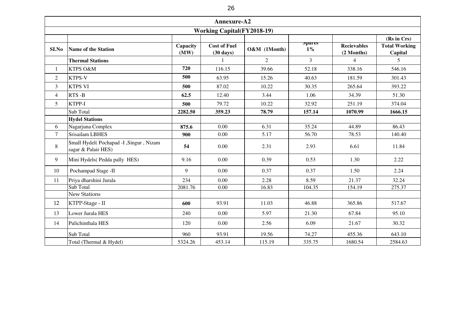|                | Annexure-A2<br><b>Working Capital(FY2018-19)</b>              |                  |                                            |                |                        |                                  |                                                |  |  |  |  |  |  |  |
|----------------|---------------------------------------------------------------|------------------|--------------------------------------------|----------------|------------------------|----------------------------------|------------------------------------------------|--|--|--|--|--|--|--|
|                |                                                               |                  |                                            |                |                        |                                  |                                                |  |  |  |  |  |  |  |
| SI.No          | <b>Name of the Station</b>                                    | Capacity<br>(MW) | <b>Cost of Fuel</b><br>$(30 \text{ days})$ | O&M (1Month)   | <b>Spares</b><br>$1\%$ | <b>Recievables</b><br>(2 Months) | (Rs in Crs)<br><b>Total Working</b><br>Capital |  |  |  |  |  |  |  |
|                | <b>Thermal Stations</b>                                       |                  | 1                                          | $\overline{2}$ | $\overline{3}$         | $\overline{4}$                   | 5                                              |  |  |  |  |  |  |  |
| $\mathbf{1}$   | KTPS O&M                                                      | 720              | 116.15                                     | 39.66          | 52.18                  | 338.16                           | 546.16                                         |  |  |  |  |  |  |  |
| $\overline{2}$ | KTPS-V                                                        | 500              | 63.95                                      | 15.26          | 40.63                  | 181.59                           | 301.43                                         |  |  |  |  |  |  |  |
| 3              | <b>KTPS VI</b>                                                | 500              | 87.02                                      | 10.22          | 30.35                  | 265.64                           | 393.22                                         |  |  |  |  |  |  |  |
| $\overline{4}$ | RTS-B                                                         | 62.5             | 12.40                                      | 3.44           | 1.06                   | 34.39                            | 51.30                                          |  |  |  |  |  |  |  |
| 5              | KTPP-I                                                        | 500              | 79.72                                      | 10.22          | 32.92                  | 251.19                           | 374.04                                         |  |  |  |  |  |  |  |
|                | Sub Total                                                     | 2282.50          | 359.23                                     | 78.79          | 157.14                 | 1070.99                          | 1666.15                                        |  |  |  |  |  |  |  |
|                | <b>Hydel Stations</b>                                         |                  |                                            |                |                        |                                  |                                                |  |  |  |  |  |  |  |
| 6              | Nagarjuna Complex                                             | 875.6            | 0.00                                       | 6.31           | 35.24                  | 44.89                            | 86.43                                          |  |  |  |  |  |  |  |
| $\overline{7}$ | Srisailam LBHES                                               | 900              | 0.00                                       | 5.17           | 56.70                  | 78.53                            | 140.40                                         |  |  |  |  |  |  |  |
| 8              | Small Hydel(Pochapad -I, Singur, Nizam<br>sagar & Palair HES) | 54               | 0.00                                       | 2.31           | 2.93                   | 6.61                             | 11.84                                          |  |  |  |  |  |  |  |
| 9              | Mini Hydels (Pedda pally HES)                                 | 9.16             | 0.00                                       | 0.39           | 0.53                   | 1.30                             | 2.22                                           |  |  |  |  |  |  |  |
| 10             | Pochampad Stage -II                                           | 9                | 0.00                                       | 0.37           | 0.37                   | 1.50                             | 2.24                                           |  |  |  |  |  |  |  |
| 11             | Priya dharshini Jurala                                        | 234              | 0.00                                       | 2.28           | 8.59                   | 21.37                            | 32.24                                          |  |  |  |  |  |  |  |
|                | Sub Total                                                     | 2081.76          | 0.00                                       | 16.83          | 104.35                 | 154.19                           | 275.37                                         |  |  |  |  |  |  |  |
|                | <b>New Stations</b>                                           |                  |                                            |                |                        |                                  |                                                |  |  |  |  |  |  |  |
| 12             | KTPP-Stage - II                                               | 600              | 93.91                                      | 11.03          | 46.88                  | 365.86                           | 517.67                                         |  |  |  |  |  |  |  |
| 13             | Lower Jurala HES                                              | 240              | 0.00                                       | 5.97           | 21.30                  | 67.84                            | 95.10                                          |  |  |  |  |  |  |  |
| 14             | Pulichinthala HES                                             | 120              | 0.00                                       | 2.56           | 6.09                   | 21.67                            | 30.32                                          |  |  |  |  |  |  |  |
|                | Sub Total                                                     | 960              | 93.91                                      | 19.56          | 74.27                  | 455.36                           | 643.10                                         |  |  |  |  |  |  |  |
|                | Total (Thermal & Hydel)                                       | 5324.26          | 453.14                                     | 115.19         | 335.75                 | 1680.54                          | 2584.63                                        |  |  |  |  |  |  |  |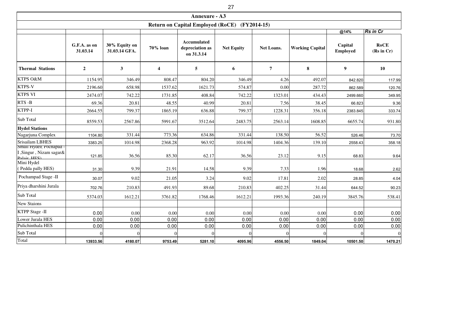|                                           |                          |                                |                  |                                              | 27                |                |                        |                            |                           |
|-------------------------------------------|--------------------------|--------------------------------|------------------|----------------------------------------------|-------------------|----------------|------------------------|----------------------------|---------------------------|
|                                           |                          |                                |                  | <b>Annexure - A3</b>                         |                   |                |                        |                            |                           |
|                                           |                          |                                |                  | <b>Return on Capital Employed (RoCE)</b>     |                   | $(FY2014-15)$  |                        |                            |                           |
|                                           |                          |                                |                  |                                              |                   |                |                        | @14%                       | <b>Rs in Cr</b>           |
|                                           | G.F.A. as on<br>31.03.14 | 30% Equity on<br>31.03.14 GFA. | 70% loan         | Accumulated<br>depreciation as<br>on 31.3.14 | <b>Net Equity</b> | Net Loans.     | <b>Working Capital</b> | Capital<br><b>Employed</b> | <b>RoCE</b><br>(Rs in Cr) |
| <b>Thermal Stations</b>                   | $\overline{2}$           | $\mathbf{3}$                   | $\boldsymbol{4}$ | 5 <sup>5</sup>                               | 6                 | $\overline{7}$ | 8                      | 9 <sup>1</sup>             | 10                        |
| KTPS O&M                                  | 1154.95                  | 346.49                         | 808.47           | 804.20                                       | 346.49            | 4.26           | 492.07                 | 842.820                    | 117.99                    |
| <b>KTPS-V</b>                             | 2196.60                  | 658.98                         | 1537.62          | 1621.73                                      | 574.87            | 0.00           | 287.72                 | 862.589                    | 120.76                    |
| <b>KTPS VI</b>                            | 2474.07                  | 742.22                         | 1731.85          | 408.84                                       | 742.22            | 1323.01        | 434.43                 | 2499.660                   | 349.95                    |
| RTS-B                                     | 69.36                    | 20.81                          | 48.55            | 40.99                                        | 20.81             | 7.56           | 38.45                  | 66.823                     | 9.36                      |
| KTPP-I                                    | 2664.55                  | 799.37                         | 1865.19          | 636.88                                       | 799.37            | 1228.31        | 356.18                 | 2383.845                   | 333.74                    |
| Sub Total                                 | 8559.53                  | 2567.86                        | 5991.67          | 3512.64                                      | 2483.75           | 2563.14        | 1608.85                | 6655.74                    | 931.80                    |
| <b>Hydel Stations</b>                     |                          |                                |                  |                                              |                   |                |                        |                            |                           |
| Nagarjuna Complex                         | 1104.80                  | 331.44                         | 773.36           | 634.86                                       | 331.44            | 138.50         | 56.52                  | 526.46                     | 73.70                     |
| Srisailam LBHES<br>Small Hydel(Pochapad - | 3383.25                  | 1014.98                        | 2368.28          | 963.92                                       | 1014.98           | 1404.36        | 139.10                 | 2558.43                    | 358.18                    |
| I, Singur, Nizam sagar&<br>Dalair HES)    | 121.85                   | 36.56                          | 85.30            | 62.17                                        | 36.56             | 23.12          | 9.15                   | 68.83                      | 9.64                      |
| Mini Hydel<br>(Pedda pally HES)           | 31.30                    | 9.39                           | 21.91            | 14.58                                        | 9.39              | 7.33           | 1.96                   | 18.68                      | 2.62                      |
| Pochampad Stage -II                       | 30.07                    | 9.02                           | 21.05            | 3.24                                         | 9.02              | 17.81          | 2.02                   | 28.85                      | 4.04                      |
| Priya dharshini Jurala                    | 702.76                   | 210.83                         | 491.93           | 89.68                                        | 210.83            | 402.25         | 31.44                  | 644.52                     | 90.23                     |
| Sub Total                                 | 5374.03                  | 1612.21                        | 3761.82          | 1768.46                                      | 1612.21           | 1993.36        | 240.19                 | 3845.76                    | 538.41                    |
| New Staions                               |                          |                                |                  |                                              |                   |                |                        |                            |                           |
| <b>KTPP Stage -II</b>                     | 0.00                     | 0.00                           | 0.00             | 0.00                                         | 0.00              | 0.00           | 0.00                   | 0.00                       | 0.00                      |
| Lower Jurala HES                          | 0.00                     | 0.00                           | 0.00             | 0.00                                         | 0.00              | 0.00           | 0.00                   | 0.00                       | 0.00                      |
| Pulichinthala HES                         | 0.00                     | 0.00                           | 0.00             | 0.00                                         | 0.00              | 0.00           | 0.00                   | 0.00                       | 0.00                      |
| Sub Total                                 | $\boldsymbol{0}$         |                                |                  | $\Omega$                                     | OI                | $\Omega$       |                        |                            | $\overline{0}$            |
| Total                                     | 13933.56                 | 4180.07                        | 9753.49          | 5281.10                                      | 4095.96           | 4556.50        | 1849.04                | 10501.50                   | 1470.21                   |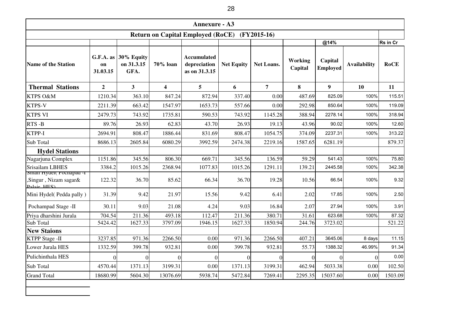|                                                                | <b>Annexure - A3</b>          |                                  |                 |                                                     |                   |                   |                    |                            |                     |                 |  |  |  |  |
|----------------------------------------------------------------|-------------------------------|----------------------------------|-----------------|-----------------------------------------------------|-------------------|-------------------|--------------------|----------------------------|---------------------|-----------------|--|--|--|--|
|                                                                |                               |                                  |                 | <b>Return on Capital Employed (RoCE)</b>            |                   | $(FY2015-16)$     |                    |                            |                     |                 |  |  |  |  |
|                                                                |                               |                                  |                 |                                                     |                   |                   |                    | @14%                       |                     | <b>Rs</b> in Cr |  |  |  |  |
| <b>Name of the Station</b>                                     | $G.F.A.$ as<br>on<br>31.03.15 | 30% Equity<br>on 31.3.15<br>GFA. | 70% loan        | <b>Accumulated</b><br>depreciation<br>as on 31.3.15 | <b>Net Equity</b> | <b>Net Loans.</b> | Working<br>Capital | Capital<br><b>Employed</b> | <b>Availability</b> | <b>RoCE</b>     |  |  |  |  |
| <b>Thermal Stations</b>                                        | $\overline{2}$                | 3 <sup>1</sup>                   | 4               | 5                                                   | 6                 | $\overline{7}$    | 8                  | 9 <sup>°</sup>             | 10                  | 11              |  |  |  |  |
| KTPS O&M                                                       | 1210.34                       | 363.10                           | 847.24          | 872.94                                              | 337.40            | 0.00              | 487.69             | 825.09                     | 100%                | 115.51          |  |  |  |  |
| KTPS-V                                                         | 2211.39                       | 663.42                           | 1547.97         | 1653.73                                             | 557.66            | 0.00              | 292.98             | 850.64                     | 100%                | 119.09          |  |  |  |  |
| <b>KTPS VI</b>                                                 | 2479.73                       | 743.92                           | 1735.81         | 590.53                                              | 743.92            | 1145.28           | 388.94             | 2278.14                    | 100%                | 318.94          |  |  |  |  |
| RTS-B                                                          | 89.76                         | 26.93                            | 62.83           | 43.70                                               | 26.93             | 19.13             | 43.96              | 90.02                      | 100%                | 12.60           |  |  |  |  |
| KTPP-I                                                         | 2694.91                       | 808.47                           | 1886.44         | 831.69                                              | 808.47            | 1054.75           | 374.09             | 2237.31                    | 100%                | 313.22          |  |  |  |  |
| Sub Total                                                      | 8686.13                       | 2605.84                          | 6080.29         | 3992.59                                             | 2474.38           | 2219.16           | 1587.65            | 6281.19                    |                     | 879.37          |  |  |  |  |
| <b>Hydel Stations</b>                                          |                               |                                  |                 |                                                     |                   |                   |                    |                            |                     |                 |  |  |  |  |
| Nagarjuna Complex                                              | 1151.86                       | 345.56                           | 806.30          | 669.71                                              | 345.56            | 136.59            | 59.29              | 541.43                     | 100%                | 75.80           |  |  |  |  |
| Srisailam LBHES                                                | 3384.2                        | 1015.26                          | 2368.94         | 1077.83                                             | 1015.26           | 1291.11           | 139.21             | 2445.58                    | 100%                | 342.38          |  |  |  |  |
| Small Hydel(Pochapad -1<br>Singur, Nizam sagar&<br>Palair HES) | 122.32                        | 36.70                            | 85.62           | 66.34                                               | 36.70             | 19.28             | 10.56              | 66.54                      | 100%                | 9.32            |  |  |  |  |
| Mini Hydel(Pedda pally)                                        | 31.39                         | 9.42                             | 21.97           | 15.56                                               | 9.42              | 6.41              | 2.02               | 17.85                      | 100%                | 2.50            |  |  |  |  |
| Pochampad Stage -II                                            | 30.11                         | 9.03                             | 21.08           | 4.24                                                | 9.03              | 16.84             | 2.07               | 27.94                      | 100%                | 3.91            |  |  |  |  |
| Priya dharshini Jurala                                         | 704.54                        | 211.36                           | 493.18          | 112.47                                              | 211.36            | 380.71            | 31.61              | 623.68                     | 100%                | 87.32           |  |  |  |  |
| Sub Total                                                      | 5424.42                       | 1627.33                          | 3797.09         | 1946.15                                             | 1627.33           | 1850.94           | 244.76             | 3723.02                    |                     | 521.22          |  |  |  |  |
| <b>New Staions</b>                                             |                               |                                  |                 |                                                     |                   |                   |                    |                            |                     |                 |  |  |  |  |
| <b>KTPP Stage -II</b>                                          | 3237.85                       | 971.36                           | 2266.50         | 0.00                                                | 971.36            | 2266.50           | 407.21             | 3645.06                    | 8 days              | 11.15           |  |  |  |  |
| Lower Jurala HES                                               | 1332.59                       | 399.78                           | 932.81          | 0.00                                                | 399.78            | 932.81            | 55.73              | 1388.32                    | 46.99%              | 91.34           |  |  |  |  |
| Pulichinthala HES                                              | 0                             | ΩI                               | $\vert 0 \vert$ | $\overline{0}$                                      | $\Omega$          | $\overline{0}$    | $\overline{0}$     | $\Omega$                   | 01                  | 0.00            |  |  |  |  |
| Sub Total                                                      | 4570.44                       | 1371.13                          | 3199.31         | 0.00                                                | 1371.13           | 3199.31           | 462.94             | 5033.38                    | 0.00                | 102.50          |  |  |  |  |
| <b>Grand Total</b>                                             | 18680.99                      | 5604.30                          | 13076.69        | 5938.74                                             | 5472.84           | 7269.41           | 2295.35            | 15037.60                   | 0.00                | 1503.09         |  |  |  |  |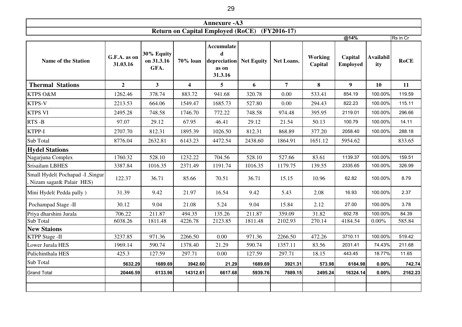| Annexure -A3                                                        |      |          |
|---------------------------------------------------------------------|------|----------|
| $(FY2016-17)$<br>$'$ (RoCE)<br><b>Return on</b><br>Capital Employed |      |          |
|                                                                     | @14% | 'Rs in C |

| <b>Name of the Station</b>                                   | G.F.A. as on<br>31.03.16 | 30% Equity<br>on 31.3.16<br>GFA. | 70% loan                | Accumulate<br>$\mathbf d$<br>depreciation<br>as on<br>31.3.16 | <b>Net Equity</b> | <b>Net Loans.</b> | Working<br>Capital | Capital<br><b>Employed</b> | <b>Availabil</b><br>ity | <b>RoCE</b> |
|--------------------------------------------------------------|--------------------------|----------------------------------|-------------------------|---------------------------------------------------------------|-------------------|-------------------|--------------------|----------------------------|-------------------------|-------------|
| <b>Thermal Stations</b>                                      | $\overline{2}$           | 3 <sup>1</sup>                   | $\overline{\mathbf{4}}$ | 5                                                             | 6                 | $\overline{7}$    | 8                  | 9                          | <b>10</b>               | 11          |
| KTPS O&M                                                     | 1262.46                  | 378.74                           | 883.72                  | 941.68                                                        | 320.78            | 0.00              | 533.41             | 854.19                     | 100.00%                 | 119.59      |
| KTPS-V                                                       | 2213.53                  | 664.06                           | 1549.47                 | 1685.73                                                       | 527.80            | 0.00              | 294.43             | 822.23                     | 100.00%                 | 115.11      |
| <b>KTPS VI</b>                                               | 2495.28                  | 748.58                           | 1746.70                 | 772.22                                                        | 748.58            | 974.48            | 395.95             | 2119.01                    | 100.00%                 | 296.66      |
| RTS-B                                                        | 97.07                    | 29.12                            | 67.95                   | 46.41                                                         | 29.12             | 21.54             | 50.13              | 100.79                     | 100.00%                 | 14.11       |
| KTPP-I                                                       | 2707.70                  | 812.31                           | 1895.39                 | 1026.50                                                       | 812.31            | 868.89            | 377.20             | 2058.40                    | 100.00%                 | 288.18      |
| Sub Total                                                    | 8776.04                  | 2632.81                          | 6143.23                 | 4472.54                                                       | 2438.60           | 1864.91           | 1651.12            | 5954.62                    |                         | 833.65      |
| <b>Hydel Stations</b>                                        |                          |                                  |                         |                                                               |                   |                   |                    |                            |                         |             |
| Nagarjuna Complex                                            | 1760.32                  | 528.10                           | 1232.22                 | 704.56                                                        | 528.10            | 527.66            | 83.61              | 1139.37                    | 100.00%                 | 159.51      |
| Srisailam LBHES                                              | 3387.84                  | 1016.35                          | 2371.49                 | 1191.74                                                       | 1016.35           | 1179.75           | 139.55             | 2335.65                    | 100.00%                 | 326.99      |
| Small Hydel(Pochapad -I , Singur<br>Nizam sagar& Palair HES) | 122.37                   | 36.71                            | 85.66                   | 70.51                                                         | 36.71             | 15.15             | 10.96              | 62.82                      | 100.00%                 | 8.79        |
| Mini Hydel(Pedda pally)                                      | 31.39                    | 9.42                             | 21.97                   | 16.54                                                         | 9.42              | 5.43              | 2.08               | 16.93                      | 100.00%                 | 2.37        |
| Pochampad Stage -II                                          | 30.12                    | 9.04                             | 21.08                   | 5.24                                                          | 9.04              | 15.84             | 2.12               | 27.00                      | 100.00%                 | 3.78        |
| Priya dharshini Jurala                                       | 706.22                   | 211.87                           | 494.35                  | 135.26                                                        | 211.87            | 359.09            | 31.82              | 602.78                     | 100.00%                 | 84.39       |
| Sub Total                                                    | 6038.26                  | 1811.48                          | 4226.78                 | 2123.85                                                       | 1811.48           | 2102.93           | 270.14             | 4184.54                    | $0.00\%$                | 585.84      |
| <b>New Staions</b>                                           |                          |                                  |                         |                                                               |                   |                   |                    |                            |                         |             |
| <b>KTPP Stage -II</b>                                        | 3237.85                  | 971.36                           | 2266.50                 | 0.00                                                          | 971.36            | 2266.50           | 472.26             | 3710.11                    | 100.00%                 | 519.42      |
| Lower Jurala HES                                             | 1969.14                  | 590.74                           | 1378.40                 | 21.29                                                         | 590.74            | 1357.11           | 83.56              | 2031.41                    | 74.43%                  | 211.68      |
| Pulichinthala HES                                            | 425.3                    | 127.59                           | 297.71                  | 0.00                                                          | 127.59            | 297.71            | 18.15              | 443.45                     | 18.77%                  | 11.65       |
| Sub Total                                                    | 5632.29                  | 1689.69                          | 3942.60                 | 21.29                                                         | 1689.69           | 3921.31           | 573.98             | 6184.98                    | 0.00%                   | 742.74      |
| <b>Grand Total</b>                                           | 20446.59                 | 6133.98                          | 14312.61                | 6617.68                                                       | 5939.76           | 7889.15           | 2495.24            | 16324.14                   | 0.00%                   | 2162.23     |
|                                                              |                          |                                  |                         |                                                               |                   |                   |                    |                            |                         |             |

┑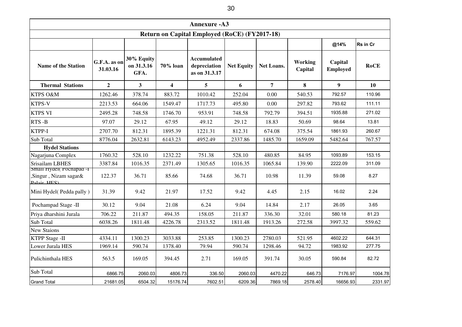| <b>Annexure - A3</b>                                 |                          |                                  |                         |                                                     |                   |                   |                    |                            |             |  |
|------------------------------------------------------|--------------------------|----------------------------------|-------------------------|-----------------------------------------------------|-------------------|-------------------|--------------------|----------------------------|-------------|--|
| <b>Return on Capital Employed (RoCE) (FY2017-18)</b> |                          |                                  |                         |                                                     |                   |                   |                    |                            |             |  |
|                                                      |                          |                                  |                         |                                                     |                   |                   |                    | @14%                       | Rs in Cr    |  |
| <b>Name of the Station</b>                           | G.F.A. as on<br>31.03.16 | 30% Equity<br>on 31.3.16<br>GFA. | 70% loan                | <b>Accumulated</b><br>depreciation<br>as on 31.3.17 | <b>Net Equity</b> | <b>Net Loans.</b> | Working<br>Capital | Capital<br><b>Employed</b> | <b>RoCE</b> |  |
| <b>Thermal Stations</b>                              | $\overline{2}$           | $\mathbf{3}$                     | $\overline{\mathbf{4}}$ | 5                                                   | 6                 | $\overline{7}$    | 8                  | 9 <sup>°</sup>             | <b>10</b>   |  |
| KTPS O&M                                             | 1262.46                  | 378.74                           | 883.72                  | 1010.42                                             | 252.04            | 0.00              | 540.53             | 792.57                     | 110.96      |  |
| KTPS-V                                               | 2213.53                  | 664.06                           | 1549.47                 | 1717.73                                             | 495.80            | 0.00              | 297.82             | 793.62                     | 111.11      |  |
| <b>KTPS VI</b>                                       | 2495.28                  | 748.58                           | 1746.70                 | 953.91                                              | 748.58            | 792.79            | 394.51             | 1935.88                    | 271.02      |  |
| RTS-B                                                | 97.07                    | 29.12                            | 67.95                   | 49.12                                               | 29.12             | 18.83             | 50.69              | 98.64                      | 13.81       |  |
| KTPP-I                                               | 2707.70                  | 812.31                           | 1895.39                 | 1221.31                                             | 812.31            | 674.08            | 375.54             | 1861.93                    | 260.67      |  |
| Sub Total                                            | 8776.04                  | 2632.81                          | 6143.23                 | 4952.49                                             | 2337.86           | 1485.70           | 1659.09            | 5482.64                    | 767.57      |  |
| <b>Hydel Stations</b>                                |                          |                                  |                         |                                                     |                   |                   |                    |                            |             |  |
| Nagarjuna Complex                                    | 1760.32                  | 528.10                           | 1232.22                 | 751.38                                              | 528.10            | 480.85            | 84.95              | 1093.89                    | 153.15      |  |
| <b>Srisailam LBHES</b><br>Small Hydel(Pochapad -1    | 3387.84                  | 1016.35                          | 2371.49                 | 1305.65                                             | 1016.35           | 1065.84           | 139.90             | 2222.09                    | 311.09      |  |
| Singur, Nizam sagar&<br>Dalair HEC)                  | 122.37                   | 36.71                            | 85.66                   | 74.68                                               | 36.71             | 10.98             | 11.39              | 59.08                      | 8.27        |  |
| Mini Hydel(Pedda pally)                              | 31.39                    | 9.42                             | 21.97                   | 17.52                                               | 9.42              | 4.45              | 2.15               | 16.02                      | 2.24        |  |
| Pochampad Stage -II                                  | 30.12                    | 9.04                             | 21.08                   | 6.24                                                | 9.04              | 14.84             | 2.17               | 26.05                      | 3.65        |  |
| Priya dharshini Jurala                               | 706.22                   | 211.87                           | 494.35                  | 158.05                                              | 211.87            | 336.30            | 32.01              | 580.18                     | 81.23       |  |
| Sub Total                                            | 6038.26                  | 1811.48                          | 4226.78                 | 2313.52                                             | 1811.48           | 1913.26           | 272.58             | 3997.32                    | 559.62      |  |
| <b>New Staions</b>                                   |                          |                                  |                         |                                                     |                   |                   |                    |                            |             |  |
| <b>KTPP Stage -II</b>                                | 4334.11                  | 1300.23                          | 3033.88                 | 253.85                                              | 1300.23           | 2780.03           | 521.95             | 4602.22                    | 644.31      |  |
| Lower Jurala HES                                     | 1969.14                  | 590.74                           | 1378.40                 | 79.94                                               | 590.74            | 1298.46           | 94.72              | 1983.92                    | 277.75      |  |
| Pulichinthala HES                                    | 563.5                    | 169.05                           | 394.45                  | 2.71                                                | 169.05            | 391.74            | 30.05              | 590.84                     | 82.72       |  |
| Sub Total                                            | 6866.75                  | 2060.03                          | 4806.73                 | 336.50                                              | 2060.03           | 4470.22           | 646.73             | 7176.97                    | 1004.78     |  |
| <b>Grand Total</b>                                   | 21681.05                 | 6504.32                          | 15176.74                | 7602.51                                             | 6209.36           | 7869.18           | 2578.40            | 16656.93                   | 2331.97     |  |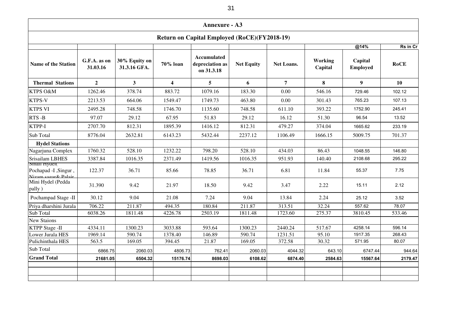| <b>Annexure - A3</b>                                                |                          |                               |                         |                                              |                   |                |                    |                            |             |  |
|---------------------------------------------------------------------|--------------------------|-------------------------------|-------------------------|----------------------------------------------|-------------------|----------------|--------------------|----------------------------|-------------|--|
| <b>Return on Capital Employed (RoCE)(FY2018-19)</b>                 |                          |                               |                         |                                              |                   |                |                    |                            |             |  |
|                                                                     |                          |                               |                         |                                              |                   |                |                    | @14%                       | Rs in Cr    |  |
| <b>Name of the Station</b>                                          | G.F.A. as on<br>31.03.16 | 30% Equity on<br>31.3.16 GFA. | 70% loan                | Accumulated<br>depreciation as<br>on 31.3.18 | <b>Net Equity</b> | Net Loans.     | Working<br>Capital | Capital<br><b>Employed</b> | <b>RoCE</b> |  |
| <b>Thermal Stations</b>                                             | $\overline{2}$           | 3 <sup>1</sup>                | $\overline{\mathbf{4}}$ | 5 <sup>5</sup>                               | 6                 | $\overline{7}$ | 8                  | 9 <sup>1</sup>             | <b>10</b>   |  |
| KTPS O&M                                                            | 1262.46                  | 378.74                        | 883.72                  | 1079.16                                      | 183.30            | 0.00           | 546.16             | 729.46                     | 102.12      |  |
| <b>KTPS-V</b>                                                       | 2213.53                  | 664.06                        | 1549.47                 | 1749.73                                      | 463.80            | 0.00           | 301.43             | 765.23                     | 107.13      |  |
| <b>KTPS VI</b>                                                      | 2495.28                  | 748.58                        | 1746.70                 | 1135.60                                      | 748.58            | 611.10         | 393.22             | 1752.90                    | 245.41      |  |
| RTS-B                                                               | 97.07                    | 29.12                         | 67.95                   | 51.83                                        | 29.12             | 16.12          | 51.30              | 96.54                      | 13.52       |  |
| KTPP-I                                                              | 2707.70                  | 812.31                        | 1895.39                 | 1416.12                                      | 812.31            | 479.27         | 374.04             | 1665.62                    | 233.19      |  |
| <b>Sub Total</b>                                                    | 8776.04                  | 2632.81                       | 6143.23                 | 5432.44                                      | 2237.12           | 1106.49        | 1666.15            | 5009.75                    | 701.37      |  |
| <b>Hydel Stations</b>                                               |                          |                               |                         |                                              |                   |                |                    |                            |             |  |
| Nagarjuna Complex                                                   | 1760.32                  | 528.10                        | 1232.22                 | 798.20                                       | 528.10            | 434.03         | 86.43              | 1048.55                    | 146.80      |  |
| <b>Srisailam LBHES</b>                                              | 3387.84                  | 1016.35                       | 2371.49                 | 1419.56                                      | 1016.35           | 951.93         | 140.40             | 2108.68                    | 295.22      |  |
| <b>Small Hydell</b><br>Pochapad -I , Singur,<br>Nizam cagar& Palair | 122.37                   | 36.71                         | 85.66                   | 78.85                                        | 36.71             | 6.81           | 11.84              | 55.37                      | 7.75        |  |
| Mini Hydel (Pedda<br>pally)                                         | 31.390                   | 9.42                          | 21.97                   | 18.50                                        | 9.42              | 3.47           | 2.22               | 15.11                      | 2.12        |  |
| Pochampad Stage -II                                                 | 30.12                    | 9.04                          | 21.08                   | 7.24                                         | 9.04              | 13.84          | 2.24               | 25.12                      | 3.52        |  |
| Priya dharshini Jurala                                              | 706.22                   | 211.87                        | 494.35                  | 180.84                                       | 211.87            | 313.51         | 32.24              | 557.62                     | 78.07       |  |
| <b>Sub Total</b>                                                    | 6038.26                  | 1811.48                       | 4226.78                 | 2503.19                                      | 1811.48           | 1723.60        | 275.37             | 3810.45                    | 533.46      |  |
| <b>New Staions</b>                                                  |                          |                               |                         |                                              |                   |                |                    |                            |             |  |
| <b>KTPP</b> Stage -II                                               | 4334.11                  | 1300.23                       | 3033.88                 | 593.64                                       | 1300.23           | 2440.24        | 517.67             | 4258.14                    | 596.14      |  |
| Lower Jurala HES                                                    | 1969.14                  | 590.74                        | 1378.40                 | 146.89                                       | 590.74            | 1231.51        | 95.10              | 1917.35                    | 268.43      |  |
| Pulichinthala HES                                                   | 563.5                    | 169.05                        | 394.45                  | 21.87                                        | 169.05            | 372.58         | 30.32              | 571.95                     | 80.07       |  |
| Sub Total                                                           | 6866.75                  | 2060.03                       | 4806.73                 | 762.41                                       | 2060.03           | 4044.32        | 643.10             | 6747.44                    | 944.64      |  |
| <b>Grand Total</b>                                                  | 21681.05                 | 6504.32                       | 15176.74                | 8698.03                                      | 6108.62           | 6874.40        | 2584.63            | 15567.64                   | 2179.47     |  |
|                                                                     |                          |                               |                         |                                              |                   |                |                    |                            |             |  |
|                                                                     |                          |                               |                         |                                              |                   |                |                    |                            |             |  |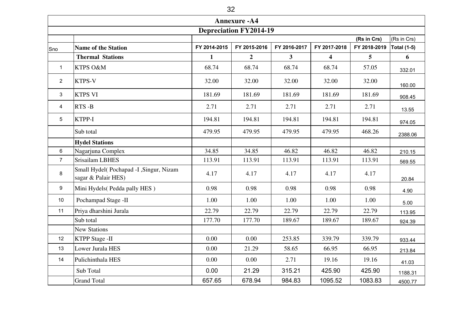|                | <b>Annexure - A4</b>                                          |              |                  |                |                         |              |             |  |  |  |  |
|----------------|---------------------------------------------------------------|--------------|------------------|----------------|-------------------------|--------------|-------------|--|--|--|--|
|                | <b>Depreciation FY2014-19</b>                                 |              |                  |                |                         |              |             |  |  |  |  |
|                |                                                               |              |                  |                |                         | (Rs in Crs)  | (Rs in Crs) |  |  |  |  |
| Sno            | <b>Name of the Station</b>                                    | FY 2014-2015 | FY 2015-2016     | FY 2016-2017   | FY 2017-2018            | FY 2018-2019 | Total (1-5) |  |  |  |  |
|                | <b>Thermal Stations</b>                                       | $\mathbf{1}$ | $\boldsymbol{2}$ | 3 <sup>1</sup> | $\overline{\mathbf{4}}$ | 5            | 6           |  |  |  |  |
| $\mathbf{1}$   | KTPS O&M                                                      | 68.74        | 68.74            | 68.74          | 68.74                   | 57.05        | 332.01      |  |  |  |  |
| $\overline{2}$ | <b>KTPS-V</b>                                                 | 32.00        | 32.00            | 32.00          | 32.00                   | 32.00        | 160.00      |  |  |  |  |
| 3              | <b>KTPS VI</b>                                                | 181.69       | 181.69           | 181.69         | 181.69                  | 181.69       | 908.45      |  |  |  |  |
| 4              | RTS-B                                                         | 2.71         | 2.71             | 2.71           | 2.71                    | 2.71         | 13.55       |  |  |  |  |
| 5              | <b>KTPP-I</b>                                                 | 194.81       | 194.81           | 194.81         | 194.81                  | 194.81       | 974.05      |  |  |  |  |
|                | Sub total                                                     | 479.95       | 479.95           | 479.95         | 479.95                  | 468.26       | 2388.06     |  |  |  |  |
|                | <b>Hydel Stations</b>                                         |              |                  |                |                         |              |             |  |  |  |  |
| 6              | Nagarjuna Complex                                             | 34.85        | 34.85            | 46.82          | 46.82                   | 46.82        | 210.15      |  |  |  |  |
| $\overline{7}$ | <b>Srisailam LBHES</b>                                        | 113.91       | 113.91           | 113.91         | 113.91                  | 113.91       | 569.55      |  |  |  |  |
| 8              | Small Hydel(Pochapad -I, Singur, Nizam<br>sagar & Palair HES) | 4.17         | 4.17             | 4.17           | 4.17                    | 4.17         | 20.84       |  |  |  |  |
| 9              | Mini Hydels (Pedda pally HES)                                 | 0.98         | 0.98             | 0.98           | 0.98                    | 0.98         | 4.90        |  |  |  |  |
| 10             | Pochampad Stage -II                                           | 1.00         | 1.00             | 1.00           | 1.00                    | 1.00         | 5.00        |  |  |  |  |
| 11             | Priya dharshini Jurala                                        | 22.79        | 22.79            | 22.79          | 22.79                   | 22.79        | 113.95      |  |  |  |  |
|                | Sub total                                                     | 177.70       | 177.70           | 189.67         | 189.67                  | 189.67       | 924.39      |  |  |  |  |
|                | <b>New Stations</b>                                           |              |                  |                |                         |              |             |  |  |  |  |
| 12             | <b>KTPP</b> Stage -II                                         | 0.00         | 0.00             | 253.85         | 339.79                  | 339.79       | 933.44      |  |  |  |  |
| 13             | Lower Jurala HES                                              | 0.00         | 21.29            | 58.65          | 66.95                   | 66.95        | 213.84      |  |  |  |  |
| 14             | Pulichinthala HES                                             | 0.00         | $0.00\,$         | 2.71           | 19.16                   | 19.16        | 41.03       |  |  |  |  |
|                | Sub Total                                                     | 0.00         | 21.29            | 315.21         | 425.90                  | 425.90       | 1188.31     |  |  |  |  |
|                | <b>Grand Total</b>                                            | 657.65       | 678.94           | 984.83         | 1095.52                 | 1083.83      | 4500.77     |  |  |  |  |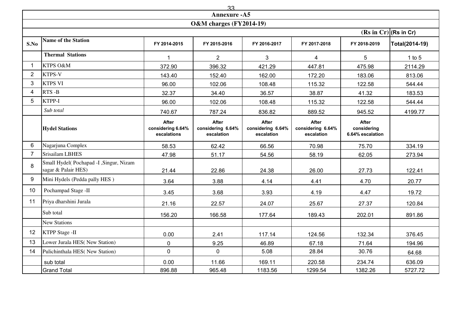|                                   | 33                                                            |                                                  |                                                 |                                                 |                                                 |                                                 |                |  |  |  |
|-----------------------------------|---------------------------------------------------------------|--------------------------------------------------|-------------------------------------------------|-------------------------------------------------|-------------------------------------------------|-------------------------------------------------|----------------|--|--|--|
|                                   | <b>Annexure - A5</b>                                          |                                                  |                                                 |                                                 |                                                 |                                                 |                |  |  |  |
|                                   | <b>O&amp;M</b> charges (FY2014-19)                            |                                                  |                                                 |                                                 |                                                 |                                                 |                |  |  |  |
| $(Rs \text{ in } Cr) $ (Rs in Cr) |                                                               |                                                  |                                                 |                                                 |                                                 |                                                 |                |  |  |  |
| S.No                              | <b>Name of the Station</b>                                    | FY 2014-2015                                     | FY 2015-2016                                    | FY 2016-2017                                    | FY 2017-2018                                    | FY 2018-2019                                    | Total(2014-19) |  |  |  |
|                                   | <b>Thermal Stations</b>                                       |                                                  | $\overline{2}$                                  | 3                                               | 4                                               | 5                                               | 1 to $5$       |  |  |  |
|                                   | KTPS O&M                                                      | 372.90                                           | 396.32                                          | 421.29                                          | 447.81                                          | 475.98                                          | 2114.29        |  |  |  |
| $\overline{2}$                    | KTPS-V                                                        | 143.40                                           | 152.40                                          | 162.00                                          | 172.20                                          | 183.06                                          | 813.06         |  |  |  |
| 3                                 | <b>KTPS VI</b>                                                | 96.00                                            | 102.06                                          | 108.48                                          | 115.32                                          | 122.58                                          | 544.44         |  |  |  |
| 4                                 | RTS-B                                                         | 32.37                                            | 34.40                                           | 36.57                                           | 38.87                                           | 41.32                                           | 183.53         |  |  |  |
| 5                                 | KTPP-I                                                        | 96.00                                            | 102.06                                          | 108.48                                          | 115.32                                          | 122.58                                          | 544.44         |  |  |  |
|                                   | Sub total                                                     | 740.67                                           | 787.24                                          | 836.82                                          | 889.52                                          | 945.52                                          | 4199.77        |  |  |  |
|                                   | <b>Hydel Stations</b>                                         | <b>After</b><br>considering 6.64%<br>escalations | <b>After</b><br>considering 6.64%<br>escalation | <b>After</b><br>considering 6.64%<br>escalation | <b>After</b><br>considering 6.64%<br>escalation | <b>After</b><br>considering<br>6.64% escalation |                |  |  |  |
| 6                                 | Nagarjuna Complex                                             | 58.53                                            | 62.42                                           | 66.56                                           | 70.98                                           | 75.70                                           | 334.19         |  |  |  |
| $7^{\circ}$                       | Srisailam LBHES                                               | 47.98                                            | 51.17                                           | 54.56                                           | 58.19                                           | 62.05                                           | 273.94         |  |  |  |
| 8                                 | Small Hydel(Pochapad -I, Singur, Nizam<br>sagar & Palair HES) | 21.44                                            | 22.86                                           | 24.38                                           | 26.00                                           | 27.73                                           | 122.41         |  |  |  |
| 9                                 | Mini Hydels (Pedda pally HES)                                 | 3.64                                             | 3.88                                            | 4.14                                            | 4.41                                            | 4.70                                            | 20.77          |  |  |  |
| 10 <sup>°</sup>                   | Pochampad Stage -II                                           | 3.45                                             | 3.68                                            | 3.93                                            | 4.19                                            | 4.47                                            | 19.72          |  |  |  |
| 11                                | Priya dharshini Jurala                                        | 21.16                                            | 22.57                                           | 24.07                                           | 25.67                                           | 27.37                                           | 120.84         |  |  |  |
|                                   | Sub total                                                     | 156.20                                           | 166.58                                          | 177.64                                          | 189.43                                          | 202.01                                          | 891.86         |  |  |  |
|                                   | <b>New Stations</b>                                           |                                                  |                                                 |                                                 |                                                 |                                                 |                |  |  |  |
| 12 <sup>°</sup>                   | <b>KTPP Stage -II</b>                                         | 0.00                                             | 2.41                                            | 117.14                                          | 124.56                                          | 132.34                                          | 376.45         |  |  |  |
| 13                                | Lower Jurala HES(New Station)                                 | $\mathbf 0$                                      | 9.25                                            | 46.89                                           | 67.18                                           | 71.64                                           | 194.96         |  |  |  |
| 14                                | Pulichinthala HES(New Station)                                | $\mathbf 0$                                      | $\mathbf 0$                                     | 5.08                                            | 28.84                                           | 30.76                                           | 64.68          |  |  |  |
|                                   | sub total                                                     | 0.00                                             | 11.66                                           | 169.11                                          | 220.58                                          | 234.74                                          | 636.09         |  |  |  |
|                                   | <b>Grand Total</b>                                            | 896.88                                           | 965.48                                          | 1183.56                                         | 1299.54                                         | 1382.26                                         | 5727.72        |  |  |  |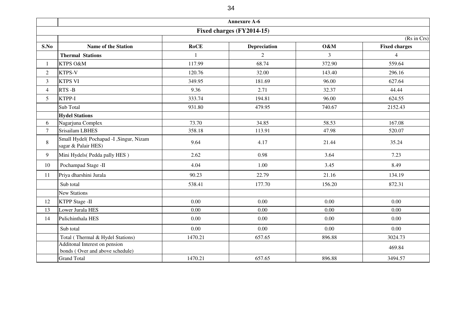|                 |                                                                  |              | <b>Annexure A-6</b> |          |                      |  |  |  |  |  |
|-----------------|------------------------------------------------------------------|--------------|---------------------|----------|----------------------|--|--|--|--|--|
|                 | Fixed charges (FY2014-15)                                        |              |                     |          |                      |  |  |  |  |  |
|                 | (Rs in Crs)                                                      |              |                     |          |                      |  |  |  |  |  |
| S.No            | <b>Name of the Station</b>                                       | <b>RoCE</b>  | <b>Depreciation</b> | O&M      | <b>Fixed charges</b> |  |  |  |  |  |
|                 | <b>Thermal Stations</b>                                          | $\mathbf{1}$ | $\overline{2}$      | 3        | $\overline{4}$       |  |  |  |  |  |
| $\mathbf{1}$    | KTPS O&M                                                         | 117.99       | 68.74               | 372.90   | 559.64               |  |  |  |  |  |
| 2               | KTPS-V                                                           | 120.76       | 32.00               | 143.40   | 296.16               |  |  |  |  |  |
| $\mathfrak{Z}$  | <b>KTPS VI</b>                                                   | 349.95       | 181.69              | 96.00    | 627.64               |  |  |  |  |  |
| $\overline{4}$  | RTS-B                                                            | 9.36         | 2.71                | 32.37    | 44.44                |  |  |  |  |  |
| $5\overline{)}$ | KTPP-I                                                           | 333.74       | 194.81              | 96.00    | 624.55               |  |  |  |  |  |
|                 | Sub Total                                                        | 931.80       | 479.95              | 740.67   | 2152.43              |  |  |  |  |  |
|                 | <b>Hydel Stations</b>                                            |              |                     |          |                      |  |  |  |  |  |
| 6               | Nagarjuna Complex                                                | 73.70        | 34.85               | 58.53    | 167.08               |  |  |  |  |  |
| $\tau$          | Srisailam LBHES                                                  | 358.18       | 113.91              | 47.98    | 520.07               |  |  |  |  |  |
| 8               | Small Hydel(Pochapad -I , Singur, Nizam<br>sagar & Palair HES)   | 9.64         | 4.17                | 21.44    | 35.24                |  |  |  |  |  |
| 9               | Mini Hydels(Pedda pally HES)                                     | 2.62         | 0.98                | 3.64     | 7.23                 |  |  |  |  |  |
| 10              | Pochampad Stage -II                                              | 4.04         | 1.00                | 3.45     | 8.49                 |  |  |  |  |  |
| 11              | Priya dharshini Jurala                                           | 90.23        | 22.79               | 21.16    | 134.19               |  |  |  |  |  |
|                 | Sub total                                                        | 538.41       | 177.70              | 156.20   | 872.31               |  |  |  |  |  |
|                 | <b>New Stations</b>                                              |              |                     |          |                      |  |  |  |  |  |
| 12              | <b>KTPP Stage -II</b>                                            | 0.00         | 0.00                | 0.00     | 0.00                 |  |  |  |  |  |
| 13              | Lower Jurala HES                                                 | 0.00         | 0.00                | 0.00     | 0.00                 |  |  |  |  |  |
| 14              | Pulichinthala HES                                                | 0.00         | $0.00\,$            | 0.00     | $0.00\,$             |  |  |  |  |  |
|                 | Sub total                                                        | $0.00\,$     | $0.00\,$            | $0.00\,$ | $0.00\,$             |  |  |  |  |  |
|                 | Total (Thermal & Hydel Stations)                                 | 1470.21      | 657.65              | 896.88   | 3024.73              |  |  |  |  |  |
|                 | Additonal Interest on pension<br>bonds (Over and above schedule) |              |                     |          | 469.84               |  |  |  |  |  |
|                 | <b>Grand Total</b>                                               | 1470.21      | 657.65              | 896.88   | 3494.57              |  |  |  |  |  |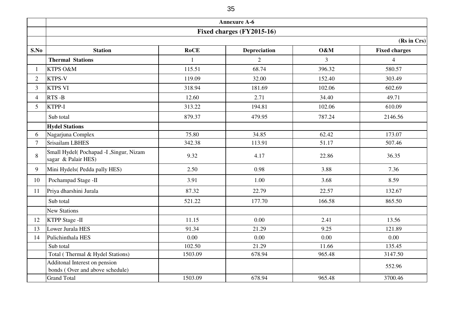|                | <b>Annexure A-6</b>                                              |             |                           |                |                      |  |  |  |
|----------------|------------------------------------------------------------------|-------------|---------------------------|----------------|----------------------|--|--|--|
|                |                                                                  |             | Fixed charges (FY2015-16) |                |                      |  |  |  |
|                | (Rs in Crs)                                                      |             |                           |                |                      |  |  |  |
| S.No           | <b>Station</b>                                                   | <b>RoCE</b> | <b>Depreciation</b>       | O&M            | <b>Fixed charges</b> |  |  |  |
|                | <b>Thermal Stations</b>                                          |             | $\overline{2}$            | $\overline{3}$ | $\overline{4}$       |  |  |  |
|                | KTPS O&M                                                         | 115.51      | 68.74                     | 396.32         | 580.57               |  |  |  |
| $\overline{2}$ | <b>KTPS-V</b>                                                    | 119.09      | 32.00                     | 152.40         | 303.49               |  |  |  |
| $\overline{3}$ | <b>KTPS VI</b>                                                   | 318.94      | 181.69                    | 102.06         | 602.69               |  |  |  |
| 4              | RTS-B                                                            | 12.60       | 2.71                      | 34.40          | 49.71                |  |  |  |
| 5 <sup>1</sup> | KTPP-I                                                           | 313.22      | 194.81                    | 102.06         | 610.09               |  |  |  |
|                | Sub total                                                        | 879.37      | 479.95                    | 787.24         | 2146.56              |  |  |  |
|                | <b>Hydel Stations</b>                                            |             |                           |                |                      |  |  |  |
| 6              | Nagarjuna Complex                                                | 75.80       | 34.85                     | 62.42          | 173.07               |  |  |  |
| $\overline{7}$ | Srisailam LBHES                                                  | 342.38      | 113.91                    | 51.17          | 507.46               |  |  |  |
| 8              | Small Hydel(Pochapad -I , Singur, Nizam<br>sagar & Palair HES)   | 9.32        | 4.17                      | 22.86          | 36.35                |  |  |  |
| 9              | Mini Hydels(Pedda pally HES)                                     | 2.50        | 0.98                      | 3.88           | 7.36                 |  |  |  |
| 10             | Pochampad Stage -II                                              | 3.91        | 1.00                      | 3.68           | 8.59                 |  |  |  |
| 11             | Priya dharshini Jurala                                           | 87.32       | 22.79                     | 22.57          | 132.67               |  |  |  |
|                | Sub total                                                        | 521.22      | 177.70                    | 166.58         | 865.50               |  |  |  |
|                | <b>New Stations</b>                                              |             |                           |                |                      |  |  |  |
| 12             | KTPP Stage -II                                                   | 11.15       | 0.00                      | 2.41           | 13.56                |  |  |  |
| 13             | Lower Jurala HES                                                 | 91.34       | 21.29                     | 9.25           | 121.89               |  |  |  |
| 14             | Pulichinthala HES                                                | 0.00        | 0.00                      | 0.00           | 0.00                 |  |  |  |
|                | Sub total                                                        | 102.50      | 21.29                     | 11.66          | 135.45               |  |  |  |
|                | Total (Thermal & Hydel Stations)                                 | 1503.09     | 678.94                    | 965.48         | 3147.50              |  |  |  |
|                | Additonal Interest on pension<br>bonds (Over and above schedule) |             |                           |                | 552.96               |  |  |  |
|                | <b>Grand Total</b>                                               | 1503.09     | 678.94                    | 965.48         | 3700.46              |  |  |  |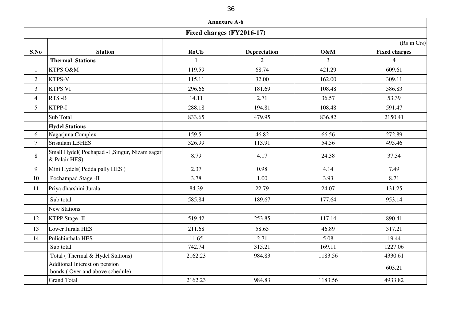|                           |                                                                  |             | <b>Annexure A-6</b> |         |                          |  |  |  |  |
|---------------------------|------------------------------------------------------------------|-------------|---------------------|---------|--------------------------|--|--|--|--|
| Fixed charges (FY2016-17) |                                                                  |             |                     |         |                          |  |  |  |  |
|                           | (Rs in Crs)                                                      |             |                     |         |                          |  |  |  |  |
| S.No                      | <b>Station</b>                                                   | <b>RoCE</b> | <b>Depreciation</b> | O&M     | <b>Fixed charges</b>     |  |  |  |  |
|                           | <b>Thermal Stations</b>                                          |             | $\overline{2}$      | 3       | $\overline{\mathcal{A}}$ |  |  |  |  |
| $\mathbf{1}$              | KTPS O&M                                                         | 119.59      | 68.74               | 421.29  | 609.61                   |  |  |  |  |
| $\overline{2}$            | <b>KTPS-V</b>                                                    | 115.11      | 32.00               | 162.00  | 309.11                   |  |  |  |  |
| 3                         | <b>KTPS VI</b>                                                   | 296.66      | 181.69              | 108.48  | 586.83                   |  |  |  |  |
| $\overline{4}$            | RTS-B                                                            | 14.11       | 2.71                | 36.57   | 53.39                    |  |  |  |  |
| 5 <sup>5</sup>            | KTPP-I                                                           | 288.18      | 194.81              | 108.48  | 591.47                   |  |  |  |  |
|                           | Sub Total                                                        | 833.65      | 479.95              | 836.82  | 2150.41                  |  |  |  |  |
|                           | <b>Hydel Stations</b>                                            |             |                     |         |                          |  |  |  |  |
| 6                         | Nagarjuna Complex                                                | 159.51      | 46.82               | 66.56   | 272.89                   |  |  |  |  |
| $\tau$                    | Srisailam LBHES                                                  | 326.99      | 113.91              | 54.56   | 495.46                   |  |  |  |  |
| 8                         | Small Hydel(Pochapad -I , Singur, Nizam sagar<br>& Palair HES)   | 8.79        | 4.17                | 24.38   | 37.34                    |  |  |  |  |
| 9                         | Mini Hydels(Pedda pally HES)                                     | 2.37        | 0.98                | 4.14    | 7.49                     |  |  |  |  |
| 10                        | Pochampad Stage -II                                              | 3.78        | 1.00                | 3.93    | 8.71                     |  |  |  |  |
| 11                        | Priya dharshini Jurala                                           | 84.39       | 22.79               | 24.07   | 131.25                   |  |  |  |  |
|                           | Sub total                                                        | 585.84      | 189.67              | 177.64  | 953.14                   |  |  |  |  |
|                           | <b>New Stations</b>                                              |             |                     |         |                          |  |  |  |  |
| 12                        | <b>KTPP Stage -II</b>                                            | 519.42      | 253.85              | 117.14  | 890.41                   |  |  |  |  |
| 13                        | Lower Jurala HES                                                 | 211.68      | 58.65               | 46.89   | 317.21                   |  |  |  |  |
| 14                        | Pulichinthala HES                                                | 11.65       | 2.71                | 5.08    | 19.44                    |  |  |  |  |
|                           | Sub total                                                        | 742.74      | 315.21              | 169.11  | 1227.06                  |  |  |  |  |
|                           | Total (Thermal & Hydel Stations)                                 | 2162.23     | 984.83              | 1183.56 | 4330.61                  |  |  |  |  |
|                           | Additonal Interest on pension<br>bonds (Over and above schedule) |             |                     |         | 603.21                   |  |  |  |  |
|                           | <b>Grand Total</b>                                               | 2162.23     | 984.83              | 1183.56 | 4933.82                  |  |  |  |  |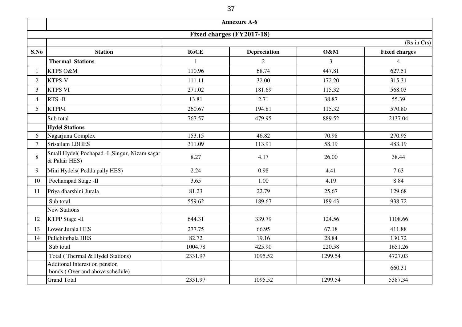|                           |                                                                  |             | <b>Annexure A-6</b> |         |                      |  |  |  |
|---------------------------|------------------------------------------------------------------|-------------|---------------------|---------|----------------------|--|--|--|
| Fixed charges (FY2017-18) |                                                                  |             |                     |         |                      |  |  |  |
| (Rs in Crs)               |                                                                  |             |                     |         |                      |  |  |  |
| S.No                      | <b>Station</b>                                                   | <b>RoCE</b> | <b>Depreciation</b> | O&M     | <b>Fixed charges</b> |  |  |  |
|                           | <b>Thermal Stations</b>                                          |             | $\overline{2}$      | 3       | $\overline{4}$       |  |  |  |
|                           | KTPS O&M                                                         | 110.96      | 68.74               | 447.81  | 627.51               |  |  |  |
| $\overline{2}$            | <b>KTPS-V</b>                                                    | 111.11      | 32.00               | 172.20  | 315.31               |  |  |  |
| 3                         | <b>KTPS VI</b>                                                   | 271.02      | 181.69              | 115.32  | 568.03               |  |  |  |
| $\overline{4}$            | RTS-B                                                            | 13.81       | 2.71                | 38.87   | 55.39                |  |  |  |
| 5                         | KTPP-I                                                           | 260.67      | 194.81              | 115.32  | 570.80               |  |  |  |
|                           | Sub total                                                        | 767.57      | 479.95              | 889.52  | 2137.04              |  |  |  |
|                           | <b>Hydel Stations</b>                                            |             |                     |         |                      |  |  |  |
| 6                         | Nagarjuna Complex                                                | 153.15      | 46.82               | 70.98   | 270.95               |  |  |  |
| 7                         | <b>Srisailam LBHES</b>                                           | 311.09      | 113.91              | 58.19   | 483.19               |  |  |  |
| 8                         | Small Hydel(Pochapad -I, Singur, Nizam sagar)<br>& Palair HES)   | 8.27        | 4.17                | 26.00   | 38.44                |  |  |  |
| 9                         | Mini Hydels (Pedda pally HES)                                    | 2.24        | 0.98                | 4.41    | 7.63                 |  |  |  |
| 10                        | Pochampad Stage -II                                              | 3.65        | 1.00                | 4.19    | 8.84                 |  |  |  |
| 11                        | Priya dharshini Jurala                                           | 81.23       | 22.79               | 25.67   | 129.68               |  |  |  |
|                           | Sub total                                                        | 559.62      | 189.67              | 189.43  | 938.72               |  |  |  |
|                           | <b>New Stations</b>                                              |             |                     |         |                      |  |  |  |
| 12                        | <b>KTPP Stage -II</b>                                            | 644.31      | 339.79              | 124.56  | 1108.66              |  |  |  |
| 13                        | Lower Jurala HES                                                 | 277.75      | 66.95               | 67.18   | 411.88               |  |  |  |
| 14                        | Pulichinthala HES                                                | 82.72       | 19.16               | 28.84   | 130.72               |  |  |  |
|                           | Sub total                                                        | 1004.78     | 425.90              | 220.58  | 1651.26              |  |  |  |
|                           | Total (Thermal & Hydel Stations)                                 | 2331.97     | 1095.52             | 1299.54 | 4727.03              |  |  |  |
|                           | Additonal Interest on pension<br>bonds (Over and above schedule) |             |                     |         | 660.31               |  |  |  |
|                           | <b>Grand Total</b>                                               | 2331.97     | 1095.52             | 1299.54 | 5387.34              |  |  |  |